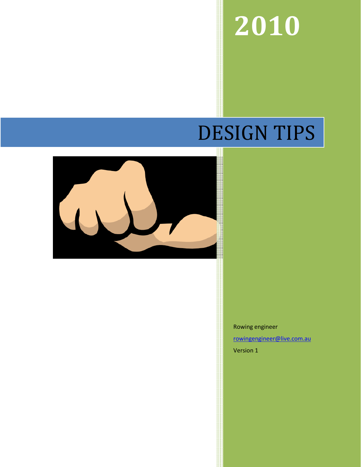2010

# DESIGN TIPS



Rowing engineer rowingengineer@live.com.au

Version 1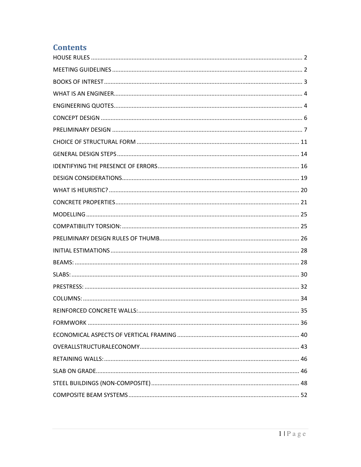# **Contents**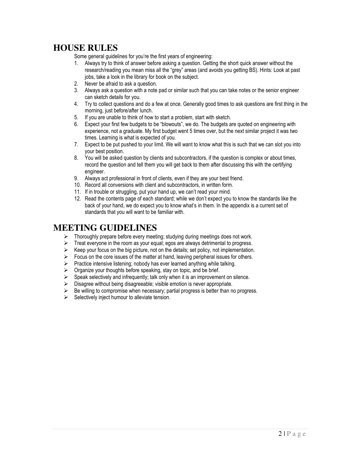# **HOUSE RULES**

Some general guidelines for you're the first years of engineering:

- 1. Always try to think of answer before asking a question. Getting the short quick answer without the research/reading you mean miss all the "grey" areas (and avoids you getting BS). Hints: Look at past jobs, take a look in the library for book on the subject.
- 2. Never be afraid to ask a question.
- 3. Always ask a question with a note pad or similar such that you can take notes or the senior engineer can sketch details for you.
- 4. Try to collect questions and do a few at once. Generally good times to ask questions are first thing in the morning, just before/after lunch.
- 5. If you are unable to think of how to start a problem, start with sketch.
- 6. Expect your first few budgets to be "blowouts", we do. The budgets are quoted on engineering with experience, not a graduate. My first budget went 5 times over, but the next similar project it was two times. Learning is what is expected of you.
- 7. Expect to be put pushed to your limit. We will want to know what this is such that we can slot you into your best position.
- 8. You will be asked question by clients and subcontractors, if the question is complex or about times, record the question and tell them you will get back to them after discussing this with the certifying engineer.
- 9. Always act professional in front of clients, even if they are your best friend.
- 10. Record all conversions with client and subcontractors, in written form.
- 11. If in trouble or struggling, put your hand up, we can't read your mind.
- 12. Read the contents page of each standard; while we don't expect you to know the standards like the back of your hand, we do expect you to know what's in them. In the appendix is a current set of standards that you will want to be familiar with.

# **MEETING GUIDELINES**

- $\triangleright$  Thoroughly prepare before every meeting; studying during meetings does not work.
- $\triangleright$  Treat everyone in the room as your equal; egos are always detrimental to progress.
- $\triangleright$  Keep your focus on the big picture, not on the details; set policy, not implementation.
- $\triangleright$  Focus on the core issues of the matter at hand, leaving peripheral issues for others.
- $\triangleright$  Practice intensive listening; nobody has ever learned anything while talking.
- $\triangleright$  Organize your thoughts before speaking, stay on topic, and be brief.
- $\triangleright$  Speak selectively and infrequently; talk only when it is an improvement on silence.
- $\triangleright$  Disagree without being disagreeable; visible emotion is never appropriate.
- $\triangleright$  Be willing to compromise when necessary; partial progress is better than no progress.
- $\triangleright$  Selectively inject humour to alleviate tension.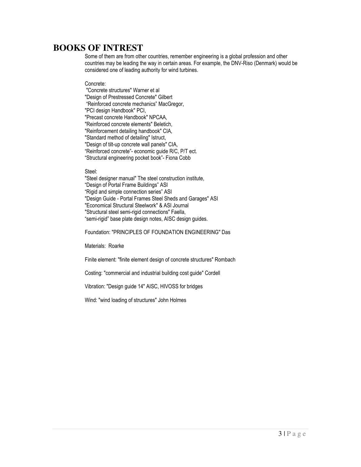# **BOOKS OF INTREST**

Some of them are from other countries, remember engineering is a global profession and other countries may be leading the way in certain areas. For example, the DNV-Riso (Denmark) would be considered one of leading authority for wind turbines.

Concrete:

 "Concrete structures" Warner et al "Design of Prestressed Concrete" Gilbert "Reinforced concrete mechanics" MacGregor, "PCI design Handbook" PCI, "Precast concrete Handbook" NPCAA, "Reinforced concrete elements" Beletich, "Reinforcement detailing handbook" CIA, "Standard method of detailing" Istruct, "Design of tilt-up concrete wall panels" CIA, "Reinforced concrete"- economic guide R/C, P/T ect. "Structural engineering pocket book"- Fiona Cobb Steel:

"Steel designer manual" The steel construction institute, "Design of Portal Frame Buildings" ASI "Rigid and simple connection series" ASI "Design Guide - Portal Frames Steel Sheds and Garages" ASI "Economical Structural Steelwork" & ASI Journal "Structural steel semi-rigid connections" Faella, "semi-rigid" base plate design notes, AISC design guides.

Foundation: "PRINCIPLES OF FOUNDATION ENGINEERING" Das

Materials: Roarke

Finite element: "finite element design of concrete structures" Rombach

Costing: "commercial and industrial building cost guide" Cordell

Vibration: "Design guide 14" AISC, HIVOSS for bridges

Wind: "wind loading of structures" John Holmes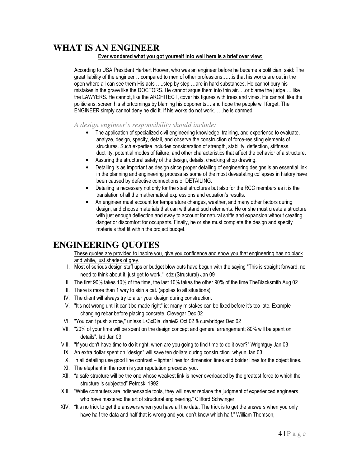# **WHAT IS AN ENGINEER**

### Ever wondered what you got yourself into well here is a brief over view:

According to USA President Herbert Hoover, who was an engineer before he became a politician, said: The great liability of the engineer …compared to men of other professions……is that his works are out in the open where all can see them His acts …..step by step …are in hard substances. He cannot bury his mistakes in the grave like the DOCTORS. He cannot argue them into thin air…..or blame the judge…..like the LAWYERS. He cannot, like the ARCHITECT, cover his figures with trees and vines. He cannot, like the politicians, screen his shortcomings by blaming his opponents….and hope the people will forget. The ENGINEER simply cannot deny he did it. If his works do not work……he is damned.

*A design engineer's responsibility should include:* 

- The application of specialized civil engineering knowledge, training, and experience to evaluate, analyze, design, specify, detail, and observe the construction of force-resisting elements of structures. Such expertise includes consideration of strength, stability, deflection, stiffness, ductility, potential modes of failure, and other characteristics that affect the behavior of a structure.
- Assuring the structural safety of the design, details, checking shop drawing.
- Detailing is as important as design since proper detailing of engineering designs is an essential link in the planning and engineering process as some of the most devastating collapses in history have been caused by defective connections or DETAILING.
- Detailing is necessary not only for the steel structures but also for the RCC members as it is the translation of all the mathematical expressions and equation's results.
- An engineer must account for temperature changes, weather, and many other factors during design, and choose materials that can withstand such elements. He or she must create a structure with just enough deflection and sway to account for natural shifts and expansion without creating danger or discomfort for occupants. Finally, he or she must complete the design and specify materials that fit within the project budget.

# **ENGINEERING QUOTES**

These quotes are provided to inspire you, give you confidence and show you that engineering has no black and white, just shades of grey.

- I. Most of serious design stuff ups or budget blow outs have begun with the saying "This is straight forward, no need to think about it, just get to work." sdz (Structural) Jan 09
- II. The first 90% takes 10% of the time, the last 10% takes the other 90% of the time TheBlacksmith Aug 02
- III. There is more than 1 way to skin a cat. (applies to all situations)
- IV. The client will always try to alter your design during construction.
- V. "It's not wrong until it can't be made right" ie: many mistakes can be fixed before it's too late. Example changing rebar before placing concrete. Clevegar Dec 02
- VI. "You can't push a rope," unless L<3xDia. daniel2 Oct 02 & curvbridger Dec 02
- VII. "20% of your time will be spent on the design concept and general arrangement; 80% will be spent on details". krd Jan 03
- VIII. "If you don't have time to do it right, when are you going to find time to do it over?" Wrightguy Jan 03
- IX. An extra dollar spent on "design" will save ten dollars during construction. whyun Jan 03
- X. In all detailing use good line contrast lighter lines for dimension lines and bolder lines for the object lines.
- XI. The elephant in the room is your reputation precedes you.
- XII. "a safe structure will be the one whose weakest link is never overloaded by the greatest force to which the structure is subjected" Petroski 1992
- XIII. "While computers are indispensable tools, they will never replace the judgment of experienced engineers who have mastered the art of structural engineering." Clifford Schwinger
- XIV. "It's no trick to get the answers when you have all the data. The trick is to get the answers when you only have half the data and half that is wrong and you don't know which half." William Thomson,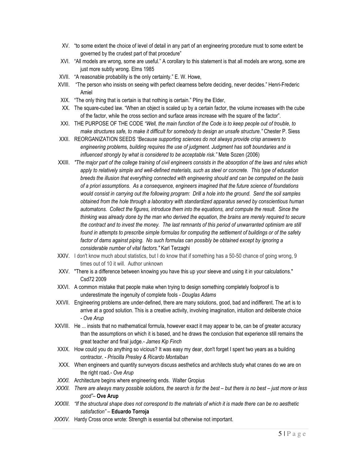- XV. "to some extent the choice of level of detail in any part of an engineering procedure must to some extent be governed by the crudest part of that procedure"
- XVI. "All models are wrong, some are useful." A corollary to this statement is that all models are wrong, some are just more subtly wrong. Elms 1985
- XVII. "A reasonable probability is the only certainty." E. W. Howe,
- XVIII. "The person who insists on seeing with perfect clearness before deciding, never decides." Henri-Frederic Amiel
- XIX. "The only thing that is certain is that nothing is certain." Pliny the Elder,
- XX. The square-cubed law. "When an object is scaled up by a certain factor, the volume increases with the cube of the factor, while the cross section and surface areas increase with the square of the factor".
- XXI. THE PURPOSE OF THE CODE "Well, the main function of the Code is to keep people out of trouble, to make structures safe, to make it difficult for somebody to design an unsafe structure." Chester P. Siess
- XXII. REORGANIZATION SEEDS "Because supporting sciences do not always provide crisp answers to engineering problems, building requires the use of judgment. Judgment has soft boundaries and is influenced strongly by what is considered to be acceptable risk." Mete Sozen (2006)
- XXIII. "The major part of the college training of civil engineers consists in the absorption of the laws and rules which apply to relatively simple and well-defined materials, such as steel or concrete. This type of education breeds the illusion that everything connected with engineering should and can be computed on the basis of a priori assumptions. As a consequence, engineers imagined that the future science of foundations would consist in carrying out the following program: Drill a hole into the ground. Send the soil samples obtained from the hole through a laboratory with standardized apparatus served by conscientious human automatons. Collect the figures, introduce them into the equations, and compute the result. Since the thinking was already done by the man who derived the equation, the brains are merely required to secure the contract and to invest the money. The last remnants of this period of unwarranted optimism are still found in attempts to prescribe simple formulas for computing the settlement of buildings or of the safety factor of dams against piping. No such formulas can possibly be obtained except by ignoring a considerable number of vital factors." Karl Terzaghi
- XXIV. I don't know much about statistics, but I do know that if something has a 50-50 chance of going wrong, 9 times out of 10 it will. Author unknown
- XXV. "There is a difference between knowing you have this up your sleeve and using it in your calculations." Csd72 2009
- XXVI. A common mistake that people make when trying to design something completely foolproof is to underestimate the ingenuity of complete fools - Douglas Adams
- XXVII. Engineering problems are under-defined, there are many solutions, good, bad and indifferent. The art is to arrive at a good solution. This is a creative activity, involving imagination, intuition and deliberate choice - Ove Arup
- XXVIII. He ... insists that no mathematical formula, however exact it may appear to be, can be of greater accuracy than the assumptions on which it is based, and he draws the conclusion that experience still remains the great teacher and final judge.- James Kip Finch
- XXIX. How could you do anything so vicious? It was easy my dear, don't forget I spent two years as a building contractor. - Priscilla Presley & Ricardo Montalban
- XXX. When engineers and quantity surveyors discuss aesthetics and architects study what cranes do we are on the right road.- Ove Arup
- XXXI. Architecture begins where engineering ends. Walter Gropius
- XXXII. There are always many possible solutions, the search is for the best but there is no best just more or less good"– Ove Arup
- XXXIII. "If the structural shape does not correspond to the materials of which it is made there can be no aesthetic satisfaction" – Eduardo Torroja
- XXXIV. Hardy Cross once wrote: Strength is essential but otherwise not important.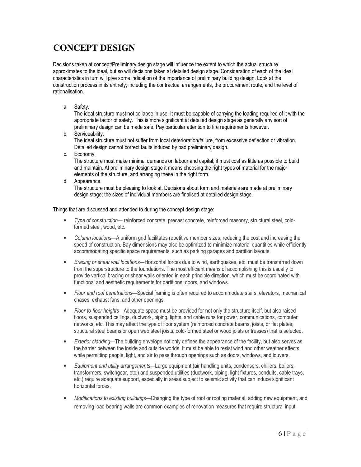# **CONCEPT DESIGN**

Decisions taken at concept/Preliminary design stage will influence the extent to which the actual structure approximates to the ideal, but so will decisions taken at detailed design stage. Consideration of each of the ideal characteristics in turn will give some indication of the importance of preliminary building design. Look at the construction process in its entirety, including the contractual arrangements, the procurement route, and the level of rationalisation.

a. Safety.

The ideal structure must not collapse in use. It must be capable of carrying the loading required of it with the appropriate factor of safety. This is more significant at detailed design stage as generally any sort of preliminary design can be made safe. Pay particular attention to fire requirements however.

b. Serviceability.

The ideal structure must not suffer from local deterioration/failure, from excessive deflection or vibration. Detailed design cannot correct faults induced by bad preliminary design.

c. Economy.

The structure must make minimal demands on labour and capital; it must cost as little as possible to build and maintain. At preliminary design stage it means choosing the right types of material for the major elements of the structure, and arranging these in the right form.

d. Appearance.

The structure must be pleasing to look at. Decisions about form and materials are made at preliminary design stage; the sizes of individual members are finalised at detailed design stage.

Things that are discussed and attended to during the concept design stage:

- Type of construction— reinforced concrete, precast concrete, reinforced masonry, structural steel, coldformed steel, wood, etc.
- Column locations—A uniform grid facilitates repetitive member sizes, reducing the cost and increasing the speed of construction. Bay dimensions may also be optimized to minimize material quantities while efficiently accommodating specific space requirements, such as parking garages and partition layouts.
- Bracing or shear wall locations—Horizontal forces due to wind, earthquakes, etc. must be transferred down from the superstructure to the foundations. The most efficient means of accomplishing this is usually to provide vertical bracing or shear walls oriented in each principle direction, which must be coordinated with functional and aesthetic requirements for partitions, doors, and windows.
- Floor and roof penetrations—Special framing is often required to accommodate stairs, elevators, mechanical chases, exhaust fans, and other openings.
- Floor-to-floor heights—Adequate space must be provided for not only the structure itself, but also raised floors, suspended ceilings, ductwork, piping, lights, and cable runs for power, communications, computer networks, etc. This may affect the type of floor system (reinforced concrete beams, joists, or flat plates; structural steel beams or open web steel joists; cold-formed steel or wood joists or trusses) that is selected.
- Exterior cladding—The building envelope not only defines the appearance of the facility, but also serves as the barrier between the inside and outside worlds. It must be able to resist wind and other weather effects while permitting people, light, and air to pass through openings such as doors, windows, and louvers.
- Equipment and utility arrangements—Large equipment (air handling units, condensers, chillers, boilers, transformers, switchgear, etc.) and suspended utilities (ductwork, piping, light fixtures, conduits, cable trays, etc.) require adequate support, especially in areas subject to seismic activity that can induce significant horizontal forces.
- Modifications to existing buildings—Changing the type of roof or roofing material, adding new equipment, and removing load-bearing walls are common examples of renovation measures that require structural input.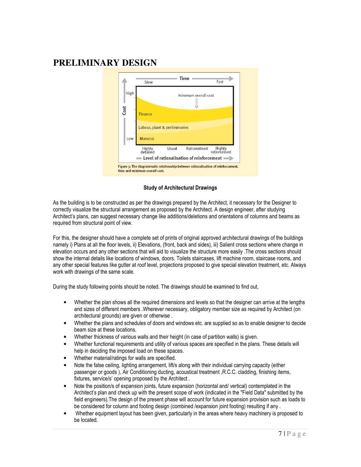# **PRELIMINARY DESIGN**



### Study of Architectural Drawings

As the building is to be constructed as per the drawings prepared by the Architect, it necessary for the Designer to correctly visualize the structural arrangement as proposed by the Architect. A design engineer, after studying Architect's plans, can suggest necessary change like additions/deletions and orientations of columns and beams as required from structural point of view.

For this, the designer should have a complete set of prints of original approved architectural drawings of the buildings namely i) Plans at all the floor levels, ii) Elevations, (front, back and sides), iii) Salient cross sections where change in elevation occurs and any other sections that will aid to visualize the structure more easily .The cross sections should show the internal details like locations of windows, doors. Toilets staircases, lift machine room, staircase rooms, and any other special features like gutter at roof level, projections proposed to give special elevation treatment, etc. Always work with drawings of the same scale.

During the study following points should be noted. The drawings should be examined to find out,

- Whether the plan shows all the required dimensions and levels so that the designer can arrive at the lengths and sizes of different members .Wherever necessary, obligatory member size as required by Architect (on architectural grounds) are given or otherwise .
- Whether the plans and schedules of doors and windows etc. are supplied so as to enable designer to decide beam size at these locations.
- Whether thickness of various walls and their height (in case of partition walls) is given.
- Whether functional requirements and utility of various spaces are specified in the plans. These details will help in deciding the imposed load on these spaces.
- Whether material/ratings for walls are specified.
- Note the false ceiling, lighting arrangement, lift/s along with their individual carrying capacity (either passenger or goods ), Air Conditioning ducting, acoustical treatment ,R.C.C. cladding, finishing items, fixtures, service/s' opening proposed by the Architect .
- Note the position/s of expansion joints, future expansion (horizontal and/ vertical) contemplated in the Architect's plan and check up with the present scope of work (indicated in the "Field Data" submitted by the field engineers).The design of the present phase will account for future expansion provision such as loads to be considered for column and footing design (combined /expansion joint footing) resulting if any .
- Whether equipment layout has been given, particularly in the areas where heavy machinery is proposed to be located.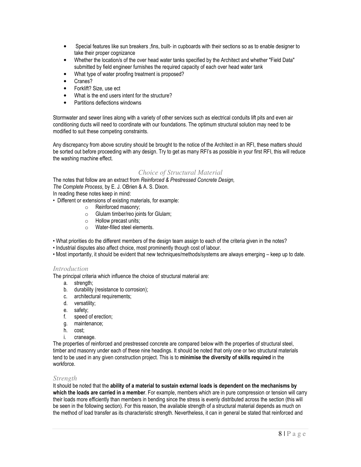- Special features like sun breakers ,fins, built- in cupboards with their sections so as to enable designer to take their proper cognizance
- Whether the location/s of the over head water tanks specified by the Architect and whether "Field Data" submitted by field engineer furnishes the required capacity of each over head water tank
- What type of water proofing treatment is proposed?
- Cranes?
- Forklift? Size, use ect
- What is the end users intent for the structure?
- Partitions deflections windowns

Stormwater and sewer lines along with a variety of other services such as electrical conduits lift pits and even air conditioning ducts will need to coordinate with our foundations. The optimum structural solution may need to be modified to suit these competing constraints.

Any discrepancy from above scrutiny should be brought to the notice of the Architect in an RFI, these matters should be sorted out before proceeding with any design. Try to get as many RFI's as possible in your first RFI, this will reduce the washing machine effect.

### *Choice of Structural Material*

The notes that follow are an extract from Reinforced & Prestressed Concrete Design, The Complete Process, by E. J. OBrien & A. S. Dixon. In reading these notes keep in mind:

- Different or extensions of existing materials, for example:
	- o Reinforced masonry;
	- o Glulam timber/reo joints for Glulam;
	- o Hollow precast units;
	- o Water-filled steel elements.
- What priorities do the different members of the design team assign to each of the criteria given in the notes?
- Industrial disputes also affect choice, most prominently though cost of labour.
- Most importantly, it should be evident that new techniques/methods/systems are always emerging keep up to date.

### *Introduction*

The principal criteria which influence the choice of structural material are:

- a. strength;
- b. durability (resistance to corrosion);
- c. architectural requirements;
- d. versatility;
- e. safety;
- f. speed of erection;
- g. maintenance;
- h. cost;
- i. craneage.

The properties of reinforced and prestressed concrete are compared below with the properties of structural steel, timber and masonry under each of these nine headings. It should be noted that only one or two structural materials tend to be used in any given construction project. This is to minimise the diversity of skills required in the workforce.

### *Strength*

It should be noted that the ability of a material to sustain external loads is dependent on the mechanisms by which the loads are carried in a member. For example, members which are in pure compression or tension will carry their loads more efficiently than members in bending since the stress is evenly distributed across the section (this will be seen in the following section). For this reason, the available strength of a structural material depends as much on the method of load transfer as its characteristic strength. Nevertheless, it can in general be stated that reinforced and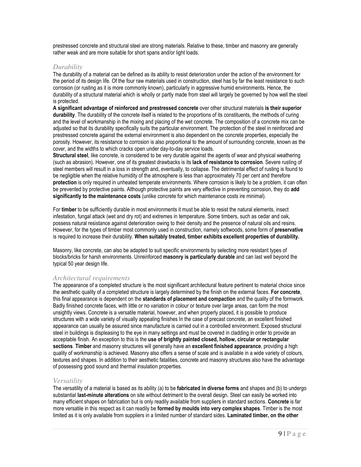prestressed concrete and structural steel are strong materials. Relative to these, timber and masonry are generally rather weak and are more suitable for short spans and/or light loads.

# *Durability*

The durability of a material can be defined as its ability to resist deterioration under the action of the environment for the period of its design life. Of the four raw materials used in construction, steel has by far the least resistance to such corrosion (or rusting as it is more commonly known), particularly in aggressive humid environments. Hence, the durability of a structural material which is wholly or partly made from steel will largely be governed by how well the steel is protected.

A significant advantage of reinforced and prestressed concrete over other structural materials is their superior durability. The durability of the concrete itself is related to the proportions of its constituents, the methods of curing and the level of workmanship in the mixing and placing of the wet concrete. The composition of a concrete mix can be adjusted so that its durability specifically suits the particular environment. The protection of the steel in reinforced and prestressed concrete against the external environment is also dependent on the concrete properties, especially the porosity. However, its resistance to corrosion is also proportional to the amount of surrounding concrete, known as the cover, and the widths to which cracks open under day-to-day service loads.

Structural steel, like concrete, is considered to be very durable against the agents of wear and physical weathering (such as abrasion). However, one of its greatest drawbacks is its lack of resistance to corrosion. Severe rusting of steel members will result in a loss in strength and, eventually, to collapse. The detrimental effect of rusting is found to be negligible when the relative humidity of the atmosphere is less than approximately 70 per cent and therefore protection is only required in unheated temperate environments. Where corrosion is likely to be a problem, it can often be prevented by protective paints. Although protective paints are very effective in preventing corrosion, they do add significantly to the maintenance costs (unlike concrete for which maintenance costs ire minimal).

For timber to be sufficiently durable in most environments it must be able to resist the natural elements, insect infestation, fungal attack (wet and dry rot) and extremes in temperature. Some timbers, such as cedar and oak, possess natural resistance against deterioration owing to their density and the presence of natural oils and resins. However, for the types of timber most commonly used in construction, namely softwoods, some form of preservative is required to increase their durability. When suitably treated, timber exhibits excellent properties of durability.

Masonry, like concrete, can also be adapted to suit specific environments by selecting more resistant types of blocks/bricks for harsh environments. Unreinforced masonry is particularly durable and can last well beyond the typical 50 year design life.

### *Architectural requirements*

The appearance of a completed structure is the most significant architectural feature pertinent to material choice since the aesthetic quality of a completed structure is largely determined by the finish on the external faces. For concrete, this final appearance is dependent on the **standards of placement and compaction** and the quality of the formwork. Badly finished concrete faces, with little or no variation in colour or texture over large areas, can form the most unsightly views. Concrete is a versatile material, however, and when properly placed, it is possible to produce structures with a wide variety of visually appealing finishes In the case of precast concrete, an excellent finished appearance can usually be assured since manufacture is carried out in a controlled environment. Exposed structural steel in buildings is displeasing to the eye in many settings and must be covered in cladding in order to provide an acceptable finish. An exception to this is the use of brightly painted closed, hollow, circular or rectangular sections. Timber and masonry structures will generally have an excellent finished appearance, providing a high quality of workmanship is achieved. Masonry also offers a sense of scale and is available in a wide variety of colours, textures and shapes. In addition to their aesthetic fatalities, concrete and masonry structures also have the advantage of possessing good sound and thermal insulation properties.

### *Versatility*

The versatility of a material is based as its ability (a) to be fabricated in diverse forms and shapes and (b) to undergo substantial last-minute alterations on site without detriment to the overall design. Steel can easily be worked into many efficient shapes on fabrication but is only readily available from suppliers in standard sections. Concrete is far more versatile in this respect as it can readily be formed by moulds into very complex shapes. Timber is the most limited as it is only available from suppliers in a limited number of standard sides. Laminated timber, on the other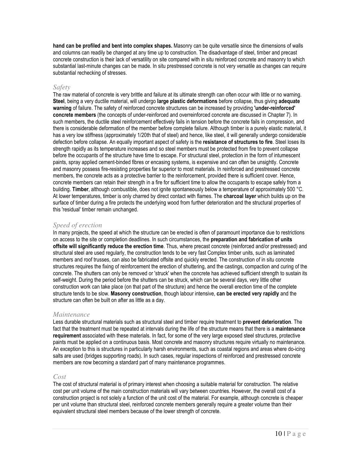hand can be profiled and bent into complex shapes. Masonry can be quite versatile since the dimensions of walls and columns can readily be changed at any time up to construction. The disadvantage of steel, timber and precast concrete construction is their lack of versatility on site compared with in situ reinforced concrete and masonry to which substantial last-minute changes can be made. In situ prestressed concrete is not very versatile as changes can require substantial rechecking of stresses.

# *Safety*

The raw material of concrete is very brittle and failure at its ultimate strength can often occur with little or no warning. Steel, being a very ductile material, will undergo large plastic deformations before collapse, thus giving adequate warning of failure. The safety of reinforced concrete structures can be increased by providing 'under-reinforced' concrete members (the concepts of under-reinforced and overreinforced concrete are discussed in Chapter 7). In such members, the ductile steel reinforcement effectively fails in tension before the concrete fails in compression, and there is considerable deformation of the member before complete failure. Although timber is a purely elastic material, it has a very low stiffness (approximately 1/20th that of steel) and hence, like steel, it will generally undergo considerable defection before collapse. An equally important aspect of safety is the resistance of structures to fire. Steel loses its strength rapidly as its temperature increases and so steel members must be protected from fire to prevent collapse before the occupants of the structure have time to escape. For structural steel, protection in the form of intumescent paints, spray applied cement-binded fibres or encasing systems, is expensive and can often be unsightly. Concrete and masonry possess fire-resisting properties far superior to most materials. In reinforced and prestressed concrete members, the concrete acts as a protective barrier to the reinforcement, provided there is sufficient cover. Hence, concrete members can retain their strength in a fire for sufficient time to allow the occupants to escape safely from a building. Timber, although combustible, does not ignite spontaneously below a temperature of approximately 500 °C. At lower temperatures, timber is only charred by direct contact with flames. The **charcoal layer** which builds up on the surface of timber during a fire protects the underlying wood from further deterioration and the structural properties of this 'residual' timber remain unchanged.

# *Speed of erection*

In many projects, the speed at which the structure can be erected is often of paramount importance due to restrictions on access to the site or completion deadlines. In such circumstances, the preparation and fabrication of units offsite will significantly reduce the erection time. Thus, where precast concrete (reinforced and/or prestressed) and structural steel are used regularly, the construction tends to be very fast Complex timber units, such as laminated members and roof trusses, can also be fabricated offsite and quickly erected. The construction of in situ concrete structures requires the fixing of reinforcement the erection of shuttering, and the castings, compaction and curing of the concrete. The shutters can only be removed or 'struck' when the concrete has achieved sufficient strength to sustain its self-weight. During the period before the shutters can be struck, which can be several days, very little other construction work can take place (on that part of the structure) and hence the overall erection time of the complete structure tends to be slow. Masonry construction, though labour intensive, can be erected very rapidly and the structure can often be built on after as little as a day.

### *Maintenance*

Less durable structural materials such as structural steel and timber require treatment to prevent deterioration. The fact that the treatment must be repeated at intervals during the life of the structure means that there is a maintenance requirement associated with these materials. In fact, for some of the very large exposed steel structures, protective paints must be applied on a continuous basis. Most concrete and masonry structures require virtually no maintenance. An exception to this is structures in particularly harsh environments, such as coastal regions and areas where do-icing salts are used (bridges supporting roads). In such cases, regular inspections of reinforced and prestressed concrete members are now becoming a standard part of many maintenance programmes.

### *Cost*

The cost of structural material is of primary interest when choosing a suitable material for construction. The relative cost per unit volume of the main construction materials will vary between countries. However, the overall cost of a construction project is not solely a function of the unit cost of the material. For example, although concrete is cheaper per unit volume than structural steel, reinforced concrete members generally require a greater volume than their equivalent structural steel members because of the lower strength of concrete.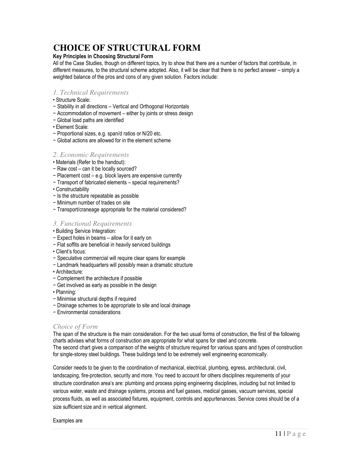# **CHOICE OF STRUCTURAL FORM**

# Key Principles in Choosing Structural Form

All of the Case Studies, though on different topics, try to show that there are a number of factors that contribute, in different measures, to the structural scheme adopted. Also, it will be clear that there is no perfect answer – simply a weighted balance of the pros and cons of any given solution. Factors include:

# *1. Technical Requirements*

- Structure Scale:
- − Stability in all directions Vertical and Orthogonal Horizontals
- − Accommodation of movement either by joints or stress design
- − Global load paths are identified
- Element Scale:
- − Proportional sizes, e.g. span/d ratios or N/20 etc.
- − Global actions are allowed for in the element scheme

# *2. Economic Requirements*

- Materials (Refer to the handout):
- − Raw cost can it be locally sourced?
- − Placement cost e.g. block layers are expensive currently
- − Transport of fabricated elements special requirements?
- Constructability
- − Is the structure repeatable as possible
- − Minimum number of trades on site
- − Transport/craneage appropriate for the material considered?

# *3. Functional Requirements*

- Building Service Integration:
- − Expect holes in beams allow for it early on
- − Flat soffits are beneficial in heavily serviced buildings
- Client's focus:
- − Speculative commercial will require clear spans for example
- − Landmark headquarters will possibly mean a dramatic structure
- Architecture:
- − Complement the architecture if possible
- − Get involved as early as possible in the design
- Planning:
- − Minimise structural depths if required
- − Drainage schemes to be appropriate to site and local drainage
- − Environmental considerations

# *Choice of Form*

The span of the structure is the main consideration. For the two usual forms of construction, the first of the following charts advises what forms of construction are appropriate for what spans for steel and concrete. The second chart gives a comparison of the weights of structure required for various spans and types of construction for single-storey steel buildings. These buildings tend to be extremely well engineering economically.

Consider needs to be given to the coordination of mechanical, electrical, plumbing, egress, architectural, civil, landscaping, fire-protection, security and more. You need to account for others disciplines requirements of your structure coordination area's are: plumbing and process piping engineering disciplines, including but not limited to various water, waste and drainage systems, process and fuel gasses, medical gasses, vacuum services, special process fluids, as well as associated fixtures, equipment, controls and appurtenances. Service cores should be of a size sufficient size and in vertical alignment.

Examples are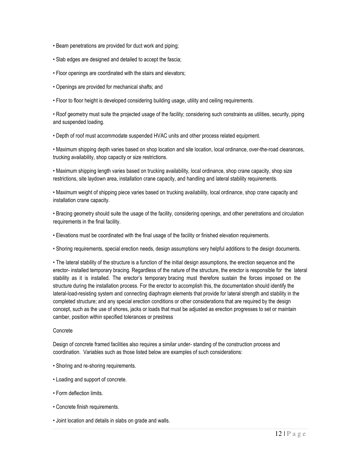- Beam penetrations are provided for duct work and piping;
- Slab edges are designed and detailed to accept the fascia;
- Floor openings are coordinated with the stairs and elevators;
- Openings are provided for mechanical shafts; and
- Floor to floor height is developed considering building usage, utility and ceiling requirements.

• Roof geometry must suite the projected usage of the facility; considering such constraints as utilities, security, piping and suspended loading.

• Depth of roof must accommodate suspended HVAC units and other process related equipment.

• Maximum shipping depth varies based on shop location and site location, local ordinance, over-the-road clearances, trucking availability, shop capacity or size restrictions.

• Maximum shipping length varies based on trucking availability, local ordinance, shop crane capacity, shop size restrictions, site laydown area, installation crane capacity, and handling and lateral stability requirements.

• Maximum weight of shipping piece varies based on trucking availability, local ordinance, shop crane capacity and installation crane capacity.

• Bracing geometry should suite the usage of the facility, considering openings, and other penetrations and circulation requirements in the final facility.

- Elevations must be coordinated with the final usage of the facility or finished elevation requirements.
- Shoring requirements, special erection needs, design assumptions very helpful additions to the design documents.

• The lateral stability of the structure is a function of the initial design assumptions, the erection sequence and the erector- installed temporary bracing. Regardless of the nature of the structure, the erector is responsible for the lateral stability as it is installed. The erector's temporary bracing must therefore sustain the forces imposed on the structure during the installation process. For the erector to accomplish this, the documentation should identify the lateral-load-resisting system and connecting diaphragm elements that provide for lateral strength and stability in the completed structure; and any special erection conditions or other considerations that are required by the design concept, such as the use of shores, jacks or loads that must be adjusted as erection progresses to set or maintain camber, position within specified tolerances or prestress

#### Concrete

Design of concrete framed facilities also requires a similar under- standing of the construction process and coordination. Variables such as those listed below are examples of such considerations:

- Shoring and re-shoring requirements.
- Loading and support of concrete.
- Form deflection limits.
- Concrete finish requirements.
- Joint location and details in slabs on grade and walls.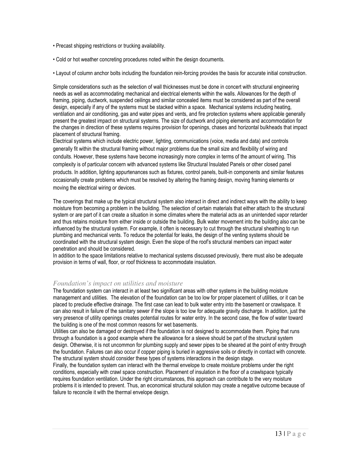- Precast shipping restrictions or trucking availability.
- Cold or hot weather concreting procedures noted within the design documents.
- Layout of column anchor bolts including the foundation rein-forcing provides the basis for accurate initial construction.

Simple considerations such as the selection of wall thicknesses must be done in concert with structural engineering needs as well as accommodating mechanical and electrical elements within the walls. Allowances for the depth of framing, piping, ductwork, suspended ceilings and similar concealed items must be considered as part of the overall design, especially if any of the systems must be stacked within a space. Mechanical systems including heating, ventilation and air conditioning, gas and water pipes and vents, and fire protection systems where applicable generally present the greatest impact on structural systems. The size of ductwork and piping elements and accommodation for the changes in direction of these systems requires provision for openings, chases and horizontal bulkheads that impact placement of structural framing.

Electrical systems which include electric power, lighting, communications (voice, media and data) and controls generally fit within the structural framing without major problems due the small size and flexibility of wiring and conduits. However, these systems have become increasingly more complex in terms of the amount of wiring. This complexity is of particular concern with advanced systems like Structural Insulated Panels or other closed panel products. In addition, lighting appurtenances such as fixtures, control panels, built-in components and similar features occasionally create problems which must be resolved by altering the framing design, moving framing elements or moving the electrical wiring or devices.

The coverings that make up the typical structural system also interact in direct and indirect ways with the ability to keep moisture from becoming a problem in the building. The selection of certain materials that either attach to the structural system or are part of it can create a situation in some climates where the material acts as an unintended vapor retarder and thus retains moisture from either inside or outside the building. Bulk water movement into the building also can be influenced by the structural system. For example, it often is necessary to cut through the structural sheathing to run plumbing and mechanical vents. To reduce the potential for leaks, the design of the venting systems should be coordinated with the structural system design. Even the slope of the roof's structural members can impact water penetration and should be considered.

In addition to the space limitations relative to mechanical systems discussed previously, there must also be adequate provision in terms of wall, floor, or roof thickness to accommodate insulation.

# *Foundation's impact on utilities and moisture*

The foundation system can interact in at least two significant areas with other systems in the building moisture management and utilities. The elevation of the foundation can be too low for proper placement of utilities, or it can be placed to preclude effective drainage. The first case can lead to bulk water entry into the basement or crawlspace. It can also result in failure of the sanitary sewer if the slope is too low for adequate gravity discharge. In addition, just the very presence of utility openings creates potential routes for water entry. In the second case, the flow of water toward the building is one of the most common reasons for wet basements.

Utilities can also be damaged or destroyed if the foundation is not designed to accommodate them. Piping that runs through a foundation is a good example where the allowance for a sleeve should be part of the structural system design. Otherwise, it is not uncommon for plumbing supply and sewer pipes to be sheared at the point of entry through the foundation. Failures can also occur if copper piping is buried in aggressive soils or directly in contact with concrete. The structural system should consider these types of systems interactions in the design stage.

Finally, the foundation system can interact with the thermal envelope to create moisture problems under the right conditions, especially with crawl space construction. Placement of insulation in the floor of a crawlspace typically requires foundation ventilation. Under the right circumstances, this approach can contribute to the very moisture problems it is intended to prevent. Thus, an economical structural solution may create a negative outcome because of failure to reconcile it with the thermal envelope design.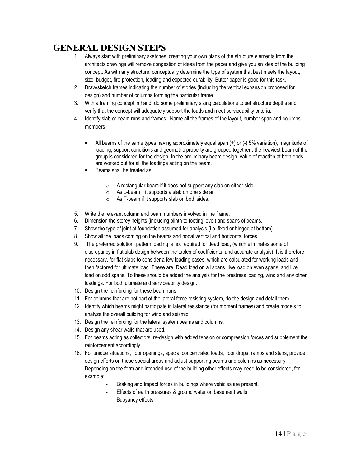# **GENERAL DESIGN STEPS**

- 1. Always start with preliminary sketches, creating your own plans of the structure elements from the architects drawings will remove congestion of ideas from the paper and give you an idea of the building concept. As with any structure, conceptually determine the type of system that best meets the layout, size, budget, fire-protection, loading and expected durability. Butter paper is good for this task.
- 2. Draw/sketch frames indicating the number of stories (including the vertical expansion proposed for design).and number of columns forming the particular frame
- 3. With a framing concept in hand, do some preliminary sizing calculations to set structure depths and verify that the concept will adequately support the loads and meet serviceability criteria.
- 4. Identify slab or beam runs and frames. Name all the frames of the layout, number span and columns members
	- All beams of the same types having approximately equal span  $(+)$  or  $(-)$  5% variation), magnitude of loading, support conditions and geometric property are grouped together . the heaviest beam of the group is considered for the design. In the preliminary beam design, value of reaction at both ends are worked out for all the loadings acting on the beam.
	- Beams shall be treated as
		- o A rectangular beam if it does not support any slab on either side.
		- $\circ$  As L-beam if it supports a slab on one side an
		- o As T-beam if it supports slab on both sides.
- 5. Write the relevant column and beam numbers involved in the frame.
- 6. Dimension the storey heights (including plinth to footing level) and spans of beams.
- 7. Show the type of joint at foundation assumed for analysis (i.e. fixed or hinged at bottom).
- 8. Show all the loads coming on the beams and nodal vertical and horizontal forces.
- 9. The preferred solution. pattern loading is not required for dead load, (which eliminates some of discrepancy in flat slab design between the tables of coefficients, and accurate analysis). It is therefore necessary, for flat slabs to consider a few loading cases, which are calculated for working loads and then factored for ultimate load. These are: Dead load on all spans, live load on even spans, and live load on odd spans. To these should be added the analysis for the prestress loading, wind and any other loadings. For both ultimate and serviceability design.
- 10. Design the reinforcing for these beam runs
- 11. For columns that are not part of the lateral force resisting system, do the design and detail them.
- 12. Identify which beams might participate in lateral resistance (for moment frames) and create models to analyze the overall building for wind and seismic
- 13. Design the reinforcing for the lateral system beams and columns.
- 14. Design any shear walls that are used.
- 15. For beams acting as collectors, re-design with added tension or compression forces and supplement the reinforcement accordingly.
- 16. For unique situations, floor openings, special concentrated loads, floor drops, ramps and stairs, provide design efforts on these special areas and adjust supporting beams and columns as necessary Depending on the form and intended use of the building other effects may need to be considered, for example:
	- Braking and Impact forces in buildings where vehicles are present.
	- Effects of earth pressures & ground water on basement walls
	- Buoyancy effects
	- -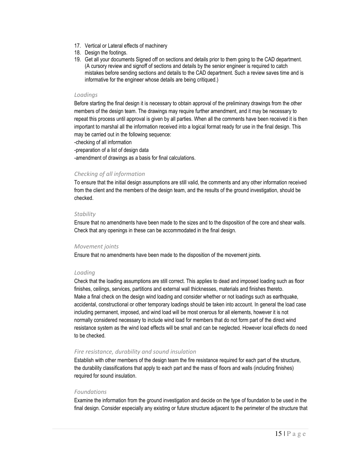- 17. Vertical or Lateral effects of machinery
- 18. Design the footings.
- 19. Get all your documents Signed off on sections and details prior to them going to the CAD department. (A cursory review and signoff of sections and details by the senior engineer is required to catch mistakes before sending sections and details to the CAD department. Such a review saves time and is informative for the engineer whose details are being critiqued.)

#### Loadings

Before starting the final design it is necessary to obtain approval of the preliminary drawings from the other members of the design team. The drawings may require further amendment, and it may be necessary to repeat this process until approval is given by all parties. When all the comments have been received it is then important to marshal all the information received into a logical format ready for use in the final design. This may be carried out in the following sequence:

-checking of all information

-preparation of a list of design data

-amendment of drawings as a basis for final calculations.

# Checking of all information

To ensure that the initial design assumptions are still valid, the comments and any other information received from the client and the members of the design team, and the results of the ground investigation, should be checked.

### **Stability**

Ensure that no amendments have been made to the sizes and to the disposition of the core and shear walls. Check that any openings in these can be accommodated in the final design.

#### Movement joints

Ensure that no amendments have been made to the disposition of the movement joints.

### Loading

Check that the loading assumptions are still correct. This applies to dead and imposed loading such as floor finishes, ceilings, services, partitions and external wall thicknesses, materials and finishes thereto. Make a final check on the design wind loading and consider whether or not loadings such as earthquake, accidental, constructional or other temporary loadings should be taken into account. In general the load case including permanent, imposed, and wind load will be most onerous for all elements, however it is not normally considered necessary to include wind load for members that do not form part of the direct wind resistance system as the wind load effects will be small and can be neglected. However local effects do need to be checked.

### Fire resistance, durability and sound insulation

Establish with other members of the design team the fire resistance required for each part of the structure, the durability classifications that apply to each part and the mass of floors and walls (including finishes) required for sound insulation.

### Foundations

Examine the information from the ground investigation and decide on the type of foundation to be used in the final design. Consider especially any existing or future structure adjacent to the perimeter of the structure that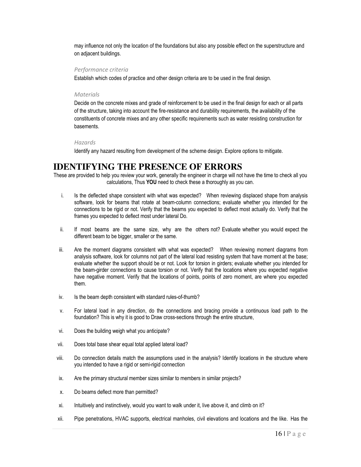may influence not only the location of the foundations but also any possible effect on the superstructure and on adjacent buildings.

#### Performance criteria

Establish which codes of practice and other design criteria are to be used in the final design.

### Materials

Decide on the concrete mixes and grade of reinforcement to be used in the final design for each or all parts of the structure, taking into account the fire-resistance and durability requirements, the availability of the constituents of concrete mixes and any other specific requirements such as water resisting construction for basements.

#### Hazards

Identify any hazard resulting from development of the scheme design. Explore options to mitigate.

# **IDENTIFYING THE PRESENCE OF ERRORS**

These are provided to help you review your work, generally the engineer in charge will not have the time to check all you calculations, Thus YOU need to check these a thoroughly as you can.

- i. Is the deflected shape consistent with what was expected? When reviewing displaced shape from analysis software, look for beams that rotate at beam-column connections; evaluate whether you intended for the connections to be rigid or not. Verify that the beams you expected to deflect most actually do. Verify that the frames you expected to deflect most under lateral Do.
- ii. If most beams are the same size, why are the others not? Evaluate whether you would expect the different beam to be bigger, smaller or the same.
- iii. Are the moment diagrams consistent with what was expected? When reviewing moment diagrams from analysis software, look for columns not part of the lateral load resisting system that have moment at the base; evaluate whether the support should be or not. Look for torsion in girders; evaluate whether you intended for the beam-girder connections to cause torsion or not. Verify that the locations where you expected negative have negative moment. Verify that the locations of points, points of zero moment, are where you expected them.
- iv. Is the beam depth consistent with standard rules-of-thumb?
- v. For lateral load in any direction, do the connections and bracing provide a continuous load path to the foundation? This is why it is good to Draw cross-sections through the entire structure,
- vi. Does the building weigh what you anticipate?
- vii. Does total base shear equal total applied lateral load?
- viii. Do connection details match the assumptions used in the analysis? Identify locations in the structure where you intended to have a rigid or semi-rigid connection
- ix. Are the primary structural member sizes similar to members in similar projects?
- x. Do beams deflect more than permitted?
- xi. Intuitively and instinctively, would you want to walk under it, live above it, and climb on it?
- xii. Pipe penetrations, HVAC supports, electrical manholes, civil elevations and locations and the like. Has the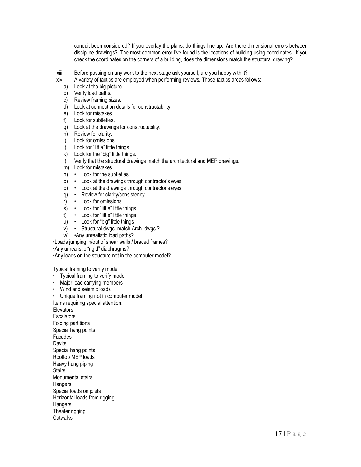conduit been considered? If you overlay the plans, do things line up. Are there dimensional errors between discipline drawings? The most common error I've found is the locations of building using coordinates. If you check the coordinates on the corners of a building, does the dimensions match the structural drawing?

- xiii. Before passing on any work to the next stage ask yourself, are you happy with it?
- xiv. A variety of tactics are employed when performing reviews. Those tactics areas follows:
	- a) Look at the big picture.
	- b) Verify load paths.
	- c) Review framing sizes.
	- d) Look at connection details for constructability.
	- e) Look for mistakes.
	- f) Look for subtleties.
	- g) Look at the drawings for constructability.
	- h) Review for clarity.
	- i) Look for omissions.
	- j) Look for "little" little things.
	- k) Look for the "big" little things.
	- l) Verify that the structural drawings match the architectural and MEP drawings.
	- m) Look for mistakes
	- n) Look for the subtleties
	- o) Look at the drawings through contractor's eyes.
	- p) Look at the drawings through contractor's eyes.
	- q) Review for clarity/consistency
	- r) Look for omissions
	- s) Look for "little" little things
	- t) Look for "little" little things
	- u) Look for "big" little things
	- v) Structural dwgs. match Arch. dwgs.?
	- w) Any unrealistic load paths?

•Loads jumping in/out of shear walls / braced frames? •Any unrealistic "rigid" diaphragms? •Any loads on the structure not in the computer model?

Typical framing to verify model

- Typical framing to verify model
- Major load carrying members
- Wind and seismic loads
- Unique framing not in computer model

Items requiring special attention:

**Elevators Escalators** Folding partitions Special hang points Facades **Davits** Special hang points Rooftop MEP loads Heavy hung piping **Stairs** Monumental stairs **Hangers** Special loads on joists Horizontal loads from rigging **Hangers** Theater rigging **Catwalks**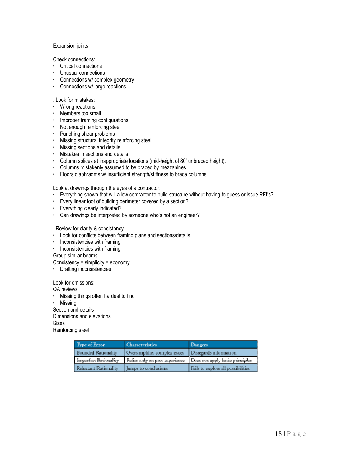### Expansion joints

Check connections:

- Critical connections
- Unusual connections
- Connections w/ complex geometry
- Connections w/ large reactions

. Look for mistakes:

- Wrong reactions
- Members too small
- Improper framing configurations
- Not enough reinforcing steel
- Punching shear problems
- Missing structural integrity reinforcing steel
- Missing sections and details
- Mistakes in sections and details
- Column splices at inappropriate locations (mid-height of 80' unbraced height).
- Columns mistakenly assumed to be braced by mezzanines.
- Floors diaphragms w/ insufficient strength/stiffness to brace columns

Look at drawings through the eyes of a contractor:

- Everything shown that will allow contractor to build structure without having to guess or issue RFI's?
- Every linear foot of building perimeter covered by a section?
- Everything clearly indicated?
- Can drawings be interpreted by someone who's not an engineer?

. Review for clarity & consistency:

- Look for conflicts between framing plans and sections/details.
- Inconsistencies with framing
- Inconsistencies with framing

Group similar beams

Consistency = simplicity = economy

• Drafting inconsistencies

Look for omissions:

QA reviews

- Missing things often hardest to find
- Missing:

Section and details Dimensions and elevations

Sizes

Reinforcing steel

| Type of Error                | <b>Characteristics</b>         | <b>Dangers</b>                     |
|------------------------------|--------------------------------|------------------------------------|
| <b>Bounded Rationality</b>   | Oversimplifies complex issues  | Disregards information             |
| Immerfeet Rationality        | Relies only on past experience | Does not apply basic principles    |
| <b>Reluctant Rationality</b> | Jumps to conclusions           | Fails to explore all possibilities |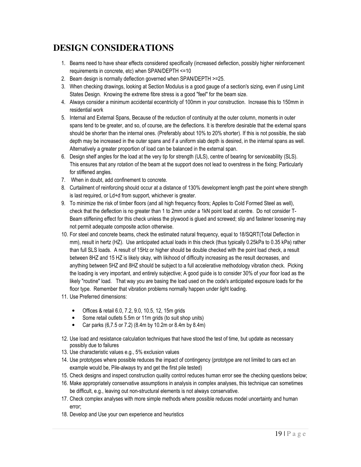# **DESIGN CONSIDERATIONS**

- 1. Beams need to have shear effects considered specifically (increased deflection, possibly higher reinforcement requirements in concrete, etc) when SPAN/DEPTH <=10
- 2. Beam design is normally deflection governed when SPAN/DEPTH >=25.
- 3. When checking drawings, looking at Section Modulus is a good gauge of a section's sizing, even if using Limit States Design. Knowing the extreme fibre stress is a good "feel" for the beam size.
- 4. Always consider a minimum accidental eccentricity of 100mm in your construction. Increase this to 150mm in residential work
- 5. Internal and External Spans, Because of the reduction of continuity at the outer column, moments in outer spans tend to be greater, and so, of course, are the deflections. It is therefore desirable that the external spans should be shorter than the internal ones. (Preferably about 10% to 20% shorter). If this is not possible, the slab depth may be increased in the outer spans and if a uniform slab depth is desired, in the internal spans as well. Alternatively a greater proportion of load can be balanced in the external span.
- 6. Design shelf angles for the load at the very tip for strength (ULS), centre of bearing for serviceability (SLS). This ensures that any rotation of the beam at the support does not lead to overstress in the fixing; Particularly for stiffened angles.
- 7. When in doubt, add confinement to concrete.
- 8. Curtailment of reinforcing should occur at a distance of 130% development length past the point where strength is last required, or Ld+d from support, whichever is greater.
- 9. To minimize the risk of timber floors (and all high frequency floors; Applies to Cold Formed Steel as well), check that the deflection is no greater than 1 to 2mm under a 1kN point load at centre. Do not consider T-Beam stiffening effect for this check unless the plywood is glued and screwed; slip and fastener loosening may not permit adequate composite action otherwise.
- 10. For steel and concrete beams, check the estimated natural frequency, equal to 18/SQRT(Total Deflection in mm), result in hertz (HZ). Use anticipated actual loads in this check (thus typically 0.25kPa to 0.35 kPa) rather than full SLS loads. A result of 15Hz or higher should be double checked with the point load check, a result between 8HZ and 15 HZ is likely okay, with likihood of difficulty increasing as the result decreases, and anything between 5HZ and 8HZ should be subject to a full accelerative methodology vibration check. Picking the loading is very important, and entirely subjective; A good guide is to consider 30% of your floor load as the likely "routine" load. That way you are basing the load used on the code's anticipated exposure loads for the floor type. Remember that vibration problems normally happen under light loading.
- 11. Use Preferred dimensions:
	- Offices & retail 6.0, 7.2, 9.0, 10.5, 12, 15m grids
	- Some retail outlets 5.5m or 11m grids (to suit shop units)
	- Car parks (6,7.5 or 7.2) (8.4m by 10.2m or 8.4m by 8.4m)
- 12. Use load and resistance calculation techniques that have stood the test of time, but update as necessary possibly due to failures
- 13. Use characteristic values e.g., 5% exclusion values
- 14. Use prototypes where possible reduces the impact of contingency (prototype are not limited to cars ect an example would be, Pile-always try and get the first pile tested)
- 15. Check designs and inspect construction quality control reduces human error see the checking questions below;
- 16. Make appropriately conservative assumptions in analysis in complex analyses, this technique can sometimes be difficult, e.g., leaving out non-structural elements is not always conservative.
- 17. Check complex analyses with more simple methods where possible reduces model uncertainty and human error;
- 18. Develop and Use your own experience and heuristics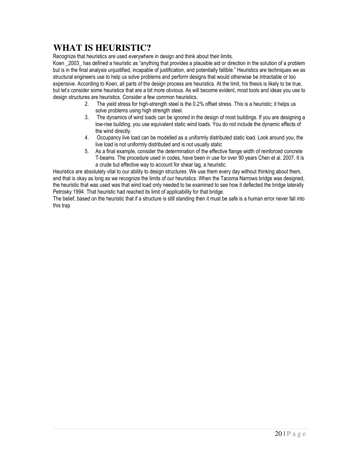# **WHAT IS HEURISTIC?**

Recognize that heuristics are used everywhere in design and think about their limits.

Koen \_2003\_ has defined a heuristic as "anything that provides a plausible aid or direction in the solution of a problem but is in the final analysis unjustified, incapable of justification, and potentially fallible." Heuristics are techniques we as structural engineers use to help us solve problems and perform designs that would otherwise be intractable or too expensive. According to Koen, all parts of the design process are heuristics. At the limit, his thesis is likely to be true, but let's consider some heuristics that are a bit more obvious. As will become evident, most tools and ideas you use to design structures are heuristics. Consider a few common heuristics.

- 2. The yield stress for high-strength steel is the 0.2% offset stress. This is a heuristic; it helps us solve problems using high strength steel.
- 3. The dynamics of wind loads can be ignored in the design of most buildings. If you are designing a low-rise building, you use equivalent static wind loads. You do not include the dynamic effects of the wind directly.
- 4. Occupancy live load can be modelled as a uniformly distributed static load. Look around you, the live load is not uniformly distributed and is not usually static
- 5. As a final example, consider the determination of the effective flange width of reinforced concrete T-beams. The procedure used in codes, have been in use for over 90 years Chen et al. 2007. It is a crude but effective way to account for shear lag, a heuristic.

Heuristics are absolutely vital to our ability to design structures. We use them every day without thinking about them, and that is okay as long as we recognize the limits of our heuristics. When the Tacoma Narrows bridge was designed, the heuristic that was used was that wind load only needed to be examined to see how it deflected the bridge laterally Petrosky 1994. That heuristic had reached its limit of applicability for that bridge.

The belief, based on the heuristic that if a structure is still standing then it must be safe is a human error never fall into this trap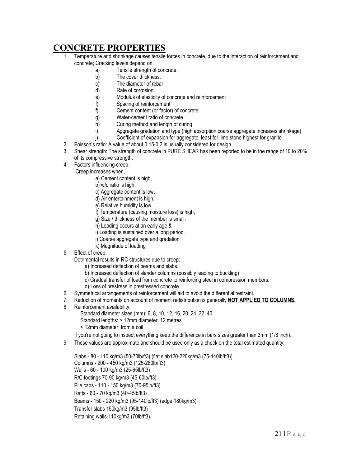# **CONCRETE PROPERTIES**

- 1. Temperature and shrinkage causes tensile forces in concrete, due to the interaction of reinforcement and concrete; Cracking levels depend on,
	- a) Tensile strength of concrete.
	- b) The cover thickness.
	- c) The diameter of rebar
	- d) Rate of corrosion.
	- e) Modulus of elasticity of concrete and reinforcement
	- f) Spacing of reinforcement
	- f) Cement content (or factor) of concrete
	- g) Water-cement ratio of concrete
	- h) Curing method and length of curing
	- i) Aggregate gradation and type (high absorption coarse aggregate increases shrinkage)
	- j) Coefficient of expansion for aggregate, least for lime stone highest for granite
- 2. Poisson's ratio: A value of about 0.15-0.2 is usually considered for design.
- 3. Shear strength: The strength of concrete in PURE SHEAR has been reported to be in the range of 10 to 20% of its compressive strength.
- 4. Factors influencing creep:
- Creep increases when,
	- a) Cement content is high,
	- b) w/c ratio is high,
	- c) Aggregate content is low,
	- d) Air entertainment is high,
	- e) Relative humidity is low,
	- f) Temperature (causing moisture loss) is high,
	- g) Size / thickness of the member is small,
	- h) Loading occurs at an early age &
	- i) Loading is sustained over a long period.
	- j) Coarse aggregate type and gradation
	- k) Magnitude of loading
- 5. Effect of creep:

Detrimental results in RC structures due to creep:

- a) Increased deflection of beams and slabs.
- b) Increased deflection of slender columns (possibly leading to buckling)
- c) Gradual transfer of load from concrete to reinforcing steel in compression members.
- d) Loss of prestress in prestressed concrete.
- 6. Symmetrical arrangements of reinforcement will aid to avoid the differential restraint.
- 7. Reduction of moments on account of moment redistribution is generally **NOT APPLIED TO COLUMNS.**
- 8. Reinforcement availability:
	- Standard diameter sizes (mm): 6, 8, 10, 12, 16, 20, 24, 32, 40
	- Standard lengths: > 12mm diameter: 12 metres
	- < 12mm diameter: from a coil

If you're not going to inspect everything keep the difference in bars sizes greater than 3mm (1/8 inch).

9. These values are approximate and should be used only as a check on the total estimated quantity:

Slabs - 80 - 110 kg/m3 (50-70lb/ft3) (flat slab120-220kg/m3 (75-140lb/ft3)) Columns - 200 - 450 kg/m3 (125-280lb/ft3) Walls - 60 - 100 kg/m3 (25-65lb/ft3) R/C footings 70-90 kg/m3 (45-60lb/ft3) Pile caps - 110 - 150 kg/m3 (70-95lb/ft3) Rafts - 60 - 70 kg/m3 (40-45lb/ft3) Beams - 150 - 220 kg/m3 (95-140lb/ft3) (edge 180kg/m3) Transfer slabs 150kg/m3 (95lb/ft3) Retaining walls-110kg/m3 (70lb/ft3)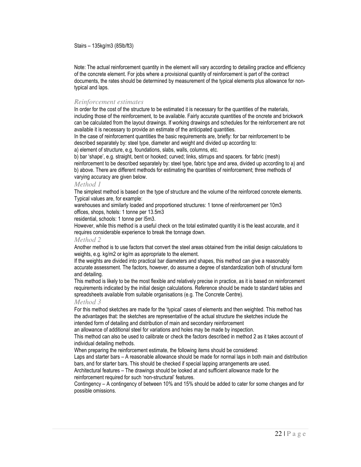Stairs – 135kg/m3 (85lb/ft3)

Note: The actual reinforcement quantity in the element will vary according to detailing practice and efficiency of the concrete element. For jobs where a provisional quantity of reinforcement is part of the contract documents, the rates should be determined by measurement of the typical elements plus allowance for nontypical and laps.

### *Reinforcement estimates*

In order for the cost of the structure to be estimated it is necessary for the quantities of the materials, including those of the reinforcement, to be available. Fairly accurate quantities of the oncrete and brickwork can be calculated from the layout drawings. If working drawings and schedules for the reinforcement are not available it is necessary to provide an estimate of the anticipated quantities.

In the case of reinforcement quantities the basic requirements are, briefly: for bar reinforcement to be described separately by: steel type, diameter and weight and divided up according to: a) element of structure, e.g. foundations, slabs, walls, columns, etc.

b) bar 'shape', e.g. straight, bent or hooked; curved; links, stirrups and spacers. for fabric (mesh) reinforcement to be described separately by: steel type, fabric type and area, divided up according to a) and b) above. There are different methods for estimating the quantities of reinforcement; three methods of

#### varying accuracy are given below.

### *Method 1*

The simplest method is based on the type of structure and the volume of the reinforced concrete elements. Typical values are, for example:

warehouses and similarly loaded and proportioned structures: 1 tonne of reinforcement per 10m3 offices, shops, hotels: 1 tonne per 13.5m3

residential, schools: 1 tonne per l5m3.

However, while this method is a useful check on the total estimated quantity it is the least accurate, and it requires considerable experience to break the tonnage down.

#### *Method 2*

Another method is to use factors that convert the steel areas obtained from the initial design calculations to weights, e.g. kg/m2 or kg/m as appropriate to the element.

If the weights are divided into practical bar diameters and shapes, this method can give a reasonably accurate assessment. The factors, however, do assume a degree of standardization both of structural form and detailing.

This method is likely to be the most flexible and relatively precise in practice, as it is based on reinforcement requirements indicated by the initial design calculations. Reference should be made to standard tables and spreadsheets available from suitable organisations (e.g. The Concrete Centre).

#### *Method 3*

For this method sketches are made for the 'typical' cases of elements and then weighted. This method has the advantages that: the sketches are representative of the actual structure the sketches include the intended form of detailing and distribution of main and secondary reinforcement

an allowance of additional steel for variations and holes may be made by inspection.

This method can also be used to calibrate or check the factors described in method 2 as it takes account of individual detailing methods.

When preparing the reinforcement estimate, the following items should be considered:

Laps and starter bars – A reasonable allowance should be made for normal laps in both main and distribution bars, and for starter bars. This should be checked if special lapping arrangements are used.

Architectural features – The drawings should be looked at and sufficient allowance made for the reinforcement required for such 'non-structural' features.

Contingency – A contingency of between 10% and 15% should be added to cater for some changes and for possible omissions.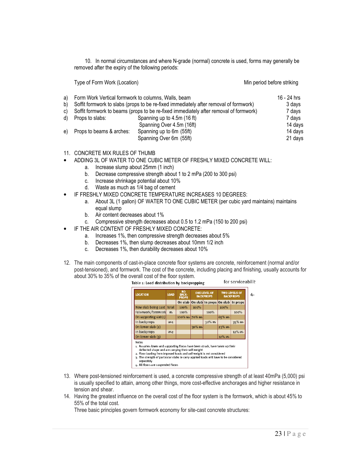10. In normal circumstances and where N-grade (normal) concrete is used, forms may generally be removed after the expiry of the following periods:

Type of Form Work (Location) and the matter of the Min period before striking

|    | a) Form Work Vertical formwork to columns, Walls, beam |                                                                                       | 16 - 24 hrs |
|----|--------------------------------------------------------|---------------------------------------------------------------------------------------|-------------|
| b) |                                                        | Soffit formwork to slabs (props to be re-fixed immediately after removal of formwork) | 3 days      |
| C) |                                                        | Soffit formwork to beams (props to be re-fixed immediately after removal of formwork) | 7 days      |
| d) | Props to slabs:                                        | Spanning up to 4.5m (16 ft)                                                           | 7 days      |
|    |                                                        | Spanning Over 4.5m (16ft)                                                             | 14 days     |
| e) | Props to beams & arches:                               | Spanning up to 6m (55ft)                                                              | 14 days     |
|    |                                                        | Spanning Over 6m (55ft)                                                               | 21 days     |

- 11. CONCRETE MIX RULES OF THUMB
- ADDING 3L OF WATER TO ONE CUBIC METER OF FRESHLY MIXED CONCRETE WILL:
	- a. Increase slump about 25mm (1 inch)
	- b. Decrease compressive strength about 1 to 2 mPa (200 to 300 psi)
	- c. Increase shrinkage potential about 10%
	- d. Waste as much as 1/4 bag of cement
- IF FRESHLY MIXED CONCRETE TEMPERATURE INCREASES 10 DEGREES:
	- a. About 3L (1 gallon) OF WATER TO ONE CUBIC METER (per cubic yard maintains) maintains equal slump
	- b. Air content decreases about 1%
	- c. Compressive strength decreases about 0.5 to 1.2 mPa (150 to 200 psi)
- IF THE AIR CONTENT OF FRESHLY MIXED CONCRETE:
	- a. Increases 1%, then compressive strength decreases about 5%
	- b. Decreases 1%, then slump decreases about 10mm 1/2 inch
	- c. Decreases 1%, then durability decreases about 10%
- 12. The main components of cast-in-place concrete floor systems are concrete, reinforcement (normal and/or post-tensioned), and formwork. The cost of the concrete, including placing and finishing, usually accounts for about 30% to 35% of the overall cost of the floor system.



13. Where post-tensioned reinforcement is used, a concrete compressive strength of at least 40mPa (5,000) psi is usually specified to attain, among other things, more cost-effective anchorages and higher resistance in tension and shear.

14. Having the greatest influence on the overall cost of the floor system is the formwork, which is about 45% to 55% of the total cost.

Three basic principles govern formwork economy for site-cast concrete structures: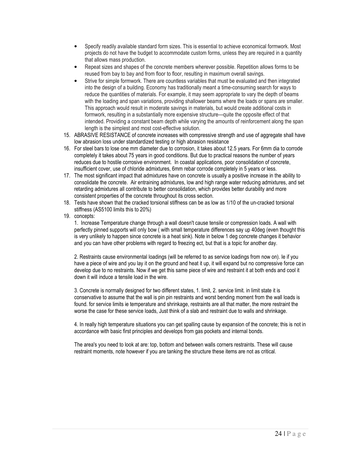- Specify readily available standard form sizes. This is essential to achieve economical formwork. Most projects do not have the budget to accommodate custom forms, unless they are required in a quantity that allows mass production.
- Repeat sizes and shapes of the concrete members wherever possible. Repetition allows forms to be reused from bay to bay and from floor to floor, resulting in maximum overall savings.
- Strive for simple formwork. There are countless variables that must be evaluated and then integrated into the design of a building. Economy has traditionally meant a time-consuming search for ways to reduce the quantities of materials. For example, it may seem appropriate to vary the depth of beams with the loading and span variations, providing shallower beams where the loads or spans are smaller. This approach would result in moderate savings in materials, but would create additional costs in formwork, resulting in a substantially more expensive structure—quite the opposite effect of that intended. Providing a constant beam depth while varying the amounts of reinforcement along the span length is the simplest and most cost-effective solution.
- 15. ABRASIVE RESISTANCE of concrete increases with compressive strength and use of aggregate shall have low abrasion loss under standardized testing or high abrasion resistance
- 16. For steel bars to lose one mm diameter due to corrosion, it takes about 12.5 years. For 6mm dia to corrode completely it takes about 75 years in good conditions. But due to practical reasons the number of years reduces due to hostile corrosive environment. In coastal applications, poor consolidation of concrete, insufficient cover, use of chloride admixtures, 6mm rebar corrode completely in 5 years or less.
- 17. The most significant impact that admixtures have on concrete is usually a positive increase in the ability to consolidate the concrete. Air entraining admixtures, low and high range water reducing admixtures, and set retarding admixtures all contribute to better consolidation, which provides better durability and more consistent properties of the concrete throughout its cross section.
- 18. Tests have shown that the cracked torsional stiffness can be as low as 1/10 of the un-cracked torsional stiffness (AS5100 limits this to 20%)
- 19. concepts:

1. Increase Temperature change through a wall doesn't cause tensile or compression loads. A wall with perfectly pinned supports will only bow ( with small temperature differences say up 40deg (even thought this is very unlikely to happen since concrete is a heat sink). Note in below 1 deg concrete changes it behavior and you can have other problems with regard to freezing ect, but that is a topic for another day.

2. Restraints cause environmental loadings (will be referred to as service loadings from now on). Ie if you have a piece of wire and you lay it on the ground and heat it up, it will expand but no compressive force can develop due to no restraints. Now if we get this same piece of wire and restraint it at both ends and cool it down it will induce a tensile load in the wire.

3. Concrete is normally designed for two different states, 1. limit, 2. service limit. in limit state it is conservative to assume that the wall is pin pin restraints and worst bending moment from the wall loads is found. for service limits ie temperature and shrinkage, restraints are all that matter, the more restraint the worse the case for these service loads, Just think of a slab and restraint due to walls and shrinkage.

4. In really high temperature situations you can get spalling cause by expansion of the concrete; this is not in accordance with basic first principles and develops from gas pockets and internal bonds.

The area's you need to look at are: top, bottom and between walls corners restraints. These will cause restraint moments, note however if you are tanking the structure these items are not as critical.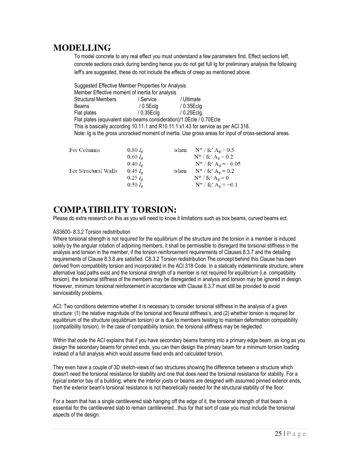# **MODELLING**

To model concrete to any real effect you must understand a few parameters first. Effect sections Ieff, concrete sections crack during bending hence you do not get full Ig for preliminary analysis the following Ieff's are suggested, these do not include the effects of creep as mentioned above.

| Suggested Effective Member Properties for Analysis                   |              |                                                                                                        |
|----------------------------------------------------------------------|--------------|--------------------------------------------------------------------------------------------------------|
| Member Effective moment of inertia for analysis                      |              |                                                                                                        |
| <b>Structural Members</b>                                            | / Service    | / Ultimate                                                                                             |
| <b>Beams</b>                                                         | $/ 0.5$ Eclg | $/ 0.35$ Eclg                                                                                          |
| Flat plates                                                          | / 0.35 Eclg  | / 0.25 Eclg.                                                                                           |
| Flat plates (equivalent slab-beams consideration)/1.0Ecle / 0.70Ecle |              |                                                                                                        |
|                                                                      |              | This is basically according 10.11.1 and R10.11.1 x1.43 for service as per ACI 318.                     |
|                                                                      |              | Note: Ig is the gross uncracked moment of inertia. Use gross areas for input of cross-sectional areas. |
|                                                                      |              |                                                                                                        |
|                                                                      |              |                                                                                                        |

| For Columns          | $0.80 I_{\sigma}$ | when | $N^*$ / fc' A <sub>9</sub> > 0.5 |
|----------------------|-------------------|------|----------------------------------|
|                      | $0.60 I_{\sigma}$ |      | $N^* /$ fc' $A_g = 0.2$          |
|                      | $0.40 I_{\sigma}$ |      | $N^*$ / fc' $A_g = -0.05$        |
| For Structural Walls | $0.45 I_{\sigma}$ | when | $N^*$ / fc' $A_g = 0.2$          |
|                      | $0.25 I_{\sigma}$ |      | $N^*$ / fc' $A_g = 0$            |
|                      | $0.50 I_{\sigma}$ |      | $N^* /$ fc' $A_g = -0.1$         |

# **COMPATIBILITY TORSION:**

Please do extra research on this as you will need to know it limitations such as box beams, curved beams ect.

### AS3600- 8.3.2 Torsion redistribution

Where torsional strength is not required for the equilibrium of the structure and the torsion in a member is induced solely by the angular rotation of adjoining members, it shall be permissible to disregard the torsional stiffness in the analysis and torsion in the member, if the torsion reinforcement requirements of Clauses 8.3.7 and the detailing requirements of Clause 8.3.8 are satisfied. C8.3.2 Torsion redistribution The concept behind this Clause has been derived from compatibility torsion and incorporated in the ACI 318 Code. In a statically indeterminate structure, where alternative load paths exist and the torsional strength of a member is not required for equilibrium (i.e. compatibility torsion), the torsional stiffness of the members may be disregarded in analysis and torsion may be ignored in design. However, minimum torsional reinforcement in accordance with Clause 8.3.7 must still be provided to avoid serviceability problems.

ACI: Two conditions determine whether it is necessary to consider torsional stiffness in the analysis of a given structure: (1) the relative magnitude of the torsional and flexural stiffness's, and (2) whether torsion is required for equilibrium of the structure (equilibrium torsion) or is due to members twisting to maintain deformation compatibility (compatibility torsion). In the case of compatibility torsion, the torsional stiffness may be neglected.

Within that code the ACI explains that if you have secondary beams framing into a primary edge beam, as long as you design the secondary beams for pinned ends, you can then design the primary beam for a minimum torsion loading instead of a full analysis which would assume fixed ends and calculated torsion.

They even have a couple of 3D sketch-views of two structures showing the difference between a structure which doesn't need the torsional resistance for stability and one that does need the torsional resistance for stability. For a typical exterior bay of a building, where the interior joists or beams are designed with assumed pinned exterior ends, then the exterior beam's torsional resistance is not theoretically needed for the structural stability of the floor.

For a beam that has a single cantilevered slab hanging off the edge of it, the torsional strength of that beam is essential for the cantilevered slab to remain cantilevered...thus for that sort of case you must include the torsional aspects of the design.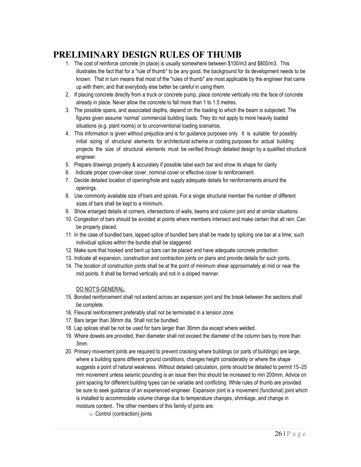# **PRELIMINARY DESIGN RULES OF THUMB**

- 1. The cost of reinforce concrete (in place) is usually somewhere between \$100/m3 and \$800/m3. This illustrates the fact that for a "rule of thumb" to be any good, the background for its development needs to be known. That in turn means that most of the "rules of thumb" are most applicable by the engineer that came up with them; and that everybody else better be careful in using them.
- 2. If placing concrete directly from a truck or concrete pump, place concrete vertically into the face of concrete already in place. Never allow the concrete to fall more than 1 to 1.5 metres.
- 3. The possible spans, and associated depths, depend on the loading to which the beam is subjected. The figures given assume 'normal' commercial building loads. They do not apply to more heavily loaded situations (e.g. plant rooms) or to unconventional loading scenarios.
- 4. This information is given without prejudice and is for guidance purposes only. It is suitable for possibly initial sizing of structural elements for architectural scheme or costing purposes for actual building projects the size of structural elements must be verified through detailed design by a qualified structural engineer.
- 5. Prepare drawings properly & accurately if possible label each bar and show its shape for clarity
- 6. Indicate proper cover-clear cover, nominal cover or effective cover to reinforcement.
- 7. Decide detailed location of opening/hole and supply adequate details for reinforcements around the openings.
- 8. Use commonly available size of bars and spirals. For a single structural member the number of different sizes of bars shall be kept to a minimum.
- 9. Show enlarged details at corners, intersections of walls, beams and column joint and at similar situations.
- 10. Congestion of bars should be avoided at points where members intersect and make certain that all rein. Can be properly placed.
- 11. In the case of bundled bars, lapped splice of bundled bars shall be made by splicing one bar at a time; such individual splices within the bundle shall be staggered.
- 12. Make sure that hooked and bent up bars can be placed and have adequate concrete protection.
- 13. Indicate all expansion, construction and contraction joints on plans and provide details for such joints.
- 14. The location of construction joints shall be at the point of minimum shear approximately at mid or near the mid points. It shall be formed vertically and not in a sloped manner.

DO NOT'S-GENERAL:

- 15. Bonded reinforcement shall not extend across an expansion joint and the break between the sections shall be complete.
- 16. Flexural reinforcement preferably shall not be terminated in a tension zone.
- 17. Bars larger than 36mm dia. Shall not be bundled.
- 18. Lap splices shall be not be used for bars larger than 36mm dia except where welded.
- 19. Where dowels are provided, their diameter shall not exceed the diameter of the column bars by more than 3mm.
- 20. Primary movement joints are required to prevent cracking where buildings (or parts of buildings) are large, where a building spans different ground conditions, changes height considerably or where the shape suggests a point of natural weakness. Without detailed calculation, joints should be detailed to permit 15–25 mm movement unless seismic pounding is an issue then this should be increased to min 200mm. Advice on joint spacing for different building types can be variable and conflicting. While rules of thumb are provided be sure to seek guidance of an experienced engineer. Expansion joint is a movement (functional) joint which is installed to accommodate volume change due to temperature changes, shrinkage, and change in moisture content.. The other members of this family of joints are:
	- $\circ$  Control (contraction) joints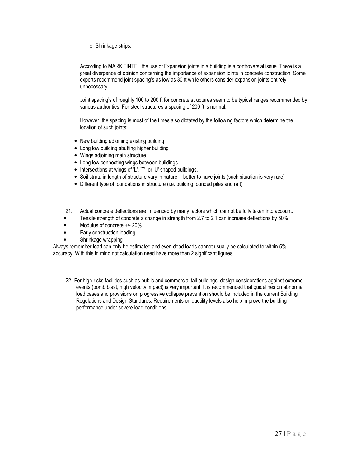o Shrinkage strips.

According to MARK FINTEL the use of Expansion joints in a building is a controversial issue. There is a great divergence of opinion concerning the importance of expansion joints in concrete construction. Some experts recommend joint spacing's as low as 30 ft while others consider expansion joints entirely unnecessary.

Joint spacing's of roughly 100 to 200 ft for concrete structures seem to be typical ranges recommended by various authorities. For steel structures a spacing of 200 ft is normal.

However, the spacing is most of the times also dictated by the following factors which determine the location of such joints:

- New building adjoining existing building
- Long low building abutting higher building
- Wings adjoining main structure
- Long low connecting wings between buildings
- Intersections at wings of 'L', 'T', or 'U' shaped buildings.
- Soil strata in length of structure vary in nature -- better to have joints (such situation is very rare)
- Different type of foundations in structure (i.e. building founded piles and raft)
- 21. Actual concrete deflections are influenced by many factors which cannot be fully taken into account.
- Tensile strength of concrete a change in strength from 2.7 to 2.1 can increase deflections by 50%
- Modulus of concrete +/- 20%
- Early construction loading
- Shrinkage wrapping

Always remember load can only be estimated and even dead loads cannot usually be calculated to within 5% accuracy. With this in mind not calculation need have more than 2 significant figures.

22. For high-risks facilities such as public and commercial tall buildings, design considerations against extreme events (bomb blast, high velocity impact) is very important. It is recommended that guidelines on abnormal load cases and provisions on progressive collapse prevention should be included in the current Building Regulations and Design Standards. Requirements on ductility levels also help improve the building performance under severe load conditions.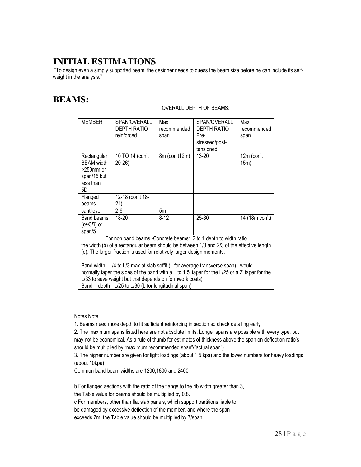# **INITIAL ESTIMATIONS**

 "To design even a simply supported beam, the designer needs to guess the beam size before he can include its selfweight in the analysis."

# **BEAMS:**

# OVERALL DEPTH OF BEAMS:

| <b>MEMBER</b>                                                                                                                                                                                                                                                                                             | SPAN/OVERALL<br><b>DEPTH RATIO</b><br>reinforced | Max<br>recommended<br>span | SPAN/OVERALL<br><b>DEPTH RATIO</b><br>Pre-<br>stressed/post-<br>tensioned | Max<br>recommended<br>span |
|-----------------------------------------------------------------------------------------------------------------------------------------------------------------------------------------------------------------------------------------------------------------------------------------------------------|--------------------------------------------------|----------------------------|---------------------------------------------------------------------------|----------------------------|
| Rectangular<br><b>BEAM</b> width<br>$>250$ mm or<br>span/15 but<br>less than<br>5D.                                                                                                                                                                                                                       | 10 TO 14 (con't<br>$20-26$                       | 8m (con't12m)              | 13-20                                                                     | 12m (con't<br>15m)         |
| Flanged<br>beams                                                                                                                                                                                                                                                                                          | 12-18 (con't 18-<br>21)                          |                            |                                                                           |                            |
| cantilever                                                                                                                                                                                                                                                                                                | $2 - 6$                                          | 5m                         |                                                                           |                            |
| Band beams<br>$(b \approx 3D)$ or<br>span/5                                                                                                                                                                                                                                                               | 18-20                                            | $8 - 12$                   | 25-30                                                                     | 14 (18m con't)             |
| For non band beams -Concrete beams: 2 to 1 depth to width ratio<br>the width (b) of a rectangular beam should be between 1/3 and 2/3 of the effective length<br>(d). The larger fraction is used for relatively larger design moments.                                                                    |                                                  |                            |                                                                           |                            |
| Band width - L/4 to L/3 max at slab soffit (L for average transverse span) I would<br>normally taper the sides of the band with a 1 to 1.5' taper for the L/25 or a 2' taper for the<br>L/33 to save weight but that depends on formwork costs)<br>depth - L/25 to L/30 (L for longitudinal span)<br>Band |                                                  |                            |                                                                           |                            |

Notes Note:

1. Beams need more depth to fit sufficient reinforcing in section so check detailing early

2. The maximum spans listed here are not absolute limits. Longer spans are possible with every type, but may not be economical. As a rule of thumb for estimates of thickness above the span on deflection ratio's should be multiplied by "maximum recommended span"/"actual span")

3. The higher number are given for light loadings (about 1.5 kpa) and the lower numbers for heavy loadings (about 10kpa)

Common band beam widths are 1200,1800 and 2400

b For flanged sections with the ratio of the flange to the rib width greater than 3,

the Table value for beams should be multiplied by 0.8.

c For members, other than flat slab panels, which support partitions liable to

be damaged by excessive deflection of the member, and where the span

exceeds 7m, the Table value should be multiplied by 7/span.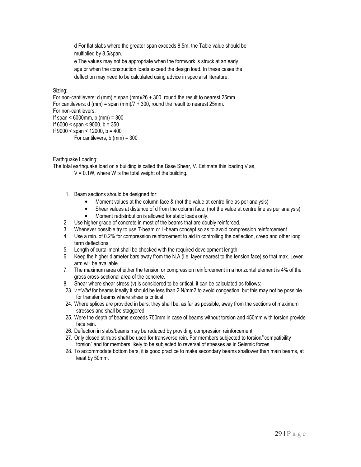d For flat slabs where the greater span exceeds 8.5m, the Table value should be multiplied by 8.5/span.

e The values may not be appropriate when the formwork is struck at an early age or when the construction loads exceed the design load. In these cases the deflection may need to be calculated using advice in specialist literature.

### Sizing:

For non-cantilevers:  $d$  (mm) = span (mm)/26 + 300, round the result to nearest 25mm. For cantilevers:  $d$  (mm) = span (mm)/7 + 300, round the result to nearest 25mm. For non-cantilevers: If span < 6000mm, b (mm) = 300 If 6000 < span < 9000, b = 350 If 9000 < span < 12000, b = 400 For cantilevers, b (mm) = 300

### Earthquake Loading:

The total earthquake load on a building is called the Base Shear, V. Estimate this loading V as,

 $V = 0.1W$ , where W is the total weight of the building.

- 1. Beam sections should be designed for:
	- Moment values at the column face & (not the value at centre line as per analysis)
	- Shear values at distance of d from the column face. (not the value at centre line as per analysis)
	- Moment redistribution is allowed for static loads only.
- 2. Use higher grade of concrete in most of the beams that are doubly reinforced.
- 3. Whenever possible try to use T-beam or L-beam concept so as to avoid compression reinforcement.
- 4. Use a min. of 0.2% for compression reinforcement to aid in controlling the deflection, creep and other long term deflections.
- 5. Length of curtailment shall be checked with the required development length.
- 6. Keep the higher diameter bars away from the N.A (i.e. layer nearest to the tension face) so that max. Lever arm will be available.
- 7. The maximum area of either the tension or compression reinforcement in a horizontal element is 4% of the gross cross-sectional area of the concrete.
- 8. Shear where shear stress  $(v)$  is considered to be critical, it can be calculated as follows:
- 23. v =V/bd for beams ideally it should be less than 2 N/mm2 to avoid congestion, but this may not be possible for transfer beams where shear is critical.
- 24. Where splices are provided in bars, they shall be, as far as possible, away from the sections of maximum stresses and shall be staggered.
- 25. Were the depth of beams exceeds 750mm in case of beams without torsion and 450mm with torsion provide face rein.
- 26. Deflection in slabs/beams may be reduced by providing compression reinforcement.
- 27. Only closed stirrups shall be used for transverse rein. For members subjected to torsion/"compatibility torsion" and for members likely to be subjected to reversal of stresses as in Seismic forces.
- 28. To accommodate bottom bars, it is good practice to make secondary beams shallower than main beams, at least by 50mm.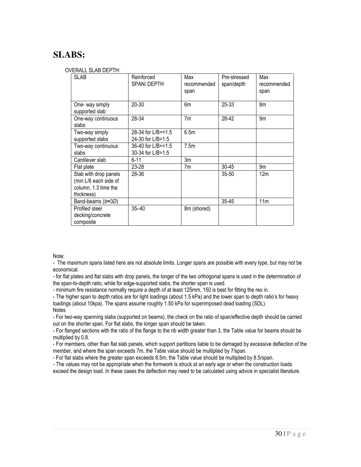# **SLABS:**

### OVERALL SLAB DEPTH:

| <b>SLAB</b>                                                                          | Reinforced<br>SPAN/DEPTH                | Max<br>recommended<br>span | Pre-stressed<br>span/depth | Max<br>recommended<br>span |
|--------------------------------------------------------------------------------------|-----------------------------------------|----------------------------|----------------------------|----------------------------|
| One- way simply<br>supported slab                                                    | $20 - 30$                               | 6m                         | 25-33                      | 8m                         |
| One-way continuous<br>slabs                                                          | 28-34                                   | 7 <sub>m</sub>             | 28-42                      | 9m                         |
| Two-way simply<br>supported slabs                                                    | 28-34 for L/B=<1.5<br>24-30 for L/B>1.5 | 6.5m                       |                            |                            |
| Two-way continuous<br>slabs                                                          | 36-40 for L/B=<1.5<br>30-34 for L/B>1.5 | 7.5m                       |                            |                            |
| Cantilever slab                                                                      | $6 - 11$                                | 3m                         |                            |                            |
| Flat plate                                                                           | 23-28                                   | 7m                         | 30-45                      | 9m                         |
| Slab with drop panels<br>(min L/6 each side of<br>column, 1.3 time the<br>thickness) | 28-36                                   |                            | $35 - 50$                  | 12 <sub>m</sub>            |
| Band-beams $(b \approx 3D)$                                                          |                                         |                            | 35-45                      | 11 <sub>m</sub>            |
| Profiled steel<br>decking/concrete<br>composite                                      | $35 - 40$                               | 8m (shored)                |                            |                            |

Note:

- The maximum spans listed here are not absolute limits. Longer spans are possible with every type, but may not be economical.

- for flat plates and flat slabs with drop panels, the longer of the two orthogonal spans is used in the determination of the span-to-depth ratio, while for edge-supported slabs, the shorter span is used.

- minimum fire resistance normally require a depth of at least 125mm, 150 is best for fitting the reo in.

- The higher span to depth ratios are for light loadings (about 1.5 kPa) and the lower span to depth ratio's for heavy loadings (about 10kpa). The spans assume roughly 1.50 kPa for superimposed dead loading (SDL). **Notes** 

- For two-way spanning slabs (supported on beams), the check on the ratio of span/effective depth should be carried out on the shorter span. For flat slabs, the longer span should be taken.

- For flanged sections with the ratio of the flange to the rib width greater than 3, the Table value for beams should be multiplied by 0.8.

- For members, other than flat slab panels, which support partitions liable to be damaged by excessive deflection of the member, and where the span exceeds 7m, the Table value should be multiplied by 7/span.

- For flat slabs where the greater span exceeds 8.5m, the Table value should be multiplied by 8.5/span.

- The values may not be appropriate when the formwork is struck at an early age or when the construction loads

exceed the design load. In these cases the deflection may need to be calculated using advice in specialist literature.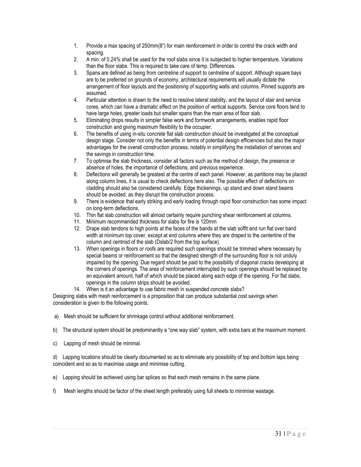- 1. Provide a max spacing of 250mm(8") for main reinforcement in order to control the crack width and spacing.
- 2. A min. of 0.24% shall be used for the roof slabs since it is subjected to higher temperature. Variations than the floor slabs. This is required to take care of temp. Differences.
- 3. Spans are defined as being from centreline of support to centreline of support. Although square bays are to be preferred on grounds of economy, architectural requirements will usually dictate the arrangement of floor layouts and the positioning of supporting walls and columns. Pinned supports are assumed.
- 4. Particular attention is drawn to the need to resolve lateral stability, and the layout of stair and service cores, which can have a dramatic effect on the position of vertical supports. Service core floors tend to have large holes, greater loads but smaller spans than the main area of floor slab.
- 5. Eliminating drops results in simpler false work and formwork arrangements, enables rapid floor construction and giving maximum flexibility to the occupier.
- 6. The benefits of using in-situ concrete flat slab construction should be investigated at the conceptual design stage. Consider not only the benefits in terms of potential design efficiencies but also the major advantages for the overall construction process, notably in simplifying the installation of services and the savings in construction time.
- 7. To optimise the slab thickness, consider all factors such as the method of design, the presence or absence of holes, the importance of deflections, and previous experience.
- 8. Deflections will generally be greatest at the centre of each panel. However, as partitions may be placed along column lines, it is usual to check deflections here also. The possible effect of deflections on cladding should also be considered carefully. Edge thickenings, up stand and down stand beams should be avoided, as they disrupt the construction process.
- 9. There is evidence that early striking and early loading through rapid floor construction has some impact on long-term deflections.
- 10. Thin flat slab construction will almost certainly require punching shear reinforcement at columns.
- 11. Minimum recommended thickness for slabs for fire is 120mm
- 12. Drape slab tendons to high points at the faces of the bands at the slab soffit and run flat over band width at minimum top cover, except at end columns where they are draped to the centerline of the column and centroid of the slab (Dslab/2 from the top surface).
- 13. When openings in floors or roofs are required such openings should be trimmed where necessary by special beams or reinforcement so that the designed strength of the surrounding floor is not unduly impaired by the opening. Due regard should be paid to the possibility of diagonal cracks developing at the corners of openings. The area of reinforcement interrupted by such openings should be replaced by an equivalent amount, half of which should be placed along each edge of the opening. For flat slabs, openings in the column strips should be avoided.
- 14. When is it an advantage to use fabric mesh in suspended concrete slabs?

Designing slabs with mesh reinforcement is a proposition that can produce substantial cost savings when consideration is given to the following points.

- a) Mesh should be sufficient for shrinkage control without additional reinforcement.
- b) The structural system should be predominantly a "one way slab" system, with extra bars at the maximum moment.
- c) Lapping of mesh should be minimal.

d) Lapping locations should be clearly documented so as to eliminate any possibility of top and bottom laps being coincident and so as to maximise usage and minimise cutting.

- e) Lapping should be achieved using bar splices so that each mesh remains in the same plane.
- f) Mesh lengths should be factor of the sheet length preferably using full sheets to minimise wastage.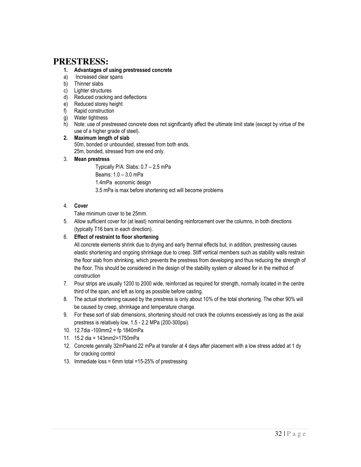# **PRESTRESS:**

### 1. Advantages of using prestressed concrete

- a) Increased clear spans
- b) Thinner slabs
- c) Lighter structures
- d) Reduced cracking and deflections
- e) Reduced storey height
- f) Rapid construction
- g) Water tightness
- h) Note: use of prestressed concrete does not significantly affect the ultimate limit state (except by virtue of the use of a higher grade of steel).

#### 2. Maximum length of slab 50m, bonded or unbounded, stressed from both ends. 25m, bonded, stressed from one end only.

3. Mean prestress

Typically P/A: Slabs: 0.7 – 2.5 mPa Beams: 1.0 – 3.0 mPa 1.4mPa economic design 3.5 mPa is max before shortening ect will become problems

# 4. Cover

Take minimum cover to be 25mm.

5. Allow sufficient cover for (at least) nominal bending reinforcement over the columns, in both directions (typically T16 bars in each direction).

# 6. Effect of restraint to floor shortening

All concrete elements shrink due to drying and early thermal effects but, in addition, prestressing causes elastic shortening and ongoing shrinkage due to creep. Stiff vertical members such as stability walls restrain the floor slab from shrinking, which prevents the prestress from developing and thus reducing the strength of the floor. This should be considered in the design of the stability system or allowed for in the method of construction

- 7. Pour strips are usually 1200 to 2000 wide, reinforced as required for strength, normally located in the centre third of the span, and left as long as possible before casting.
- 8. The actual shortening caused by the prestress is only about 10% of the total shortening. The other 90% will be caused by creep, shrinkage and temperature change.
- 9. For these sort of slab dimensions, shortening should not crack the columns excessively as long as the axial prestress is relatively low, 1.5 - 2.2 MPa (200-300psi).
- 10. 12.7dia -100mm2 = fp 1840mPa
- 11. 15.2 dia = 143mm2=1750mPa
- 12. Concrete genrally 32mPaand 22 mPa at transfer at 4 days after placement with a low stress added at 1 dy for cracking control
- 13. Immediate loss = 6mm total =15-25% of prestressing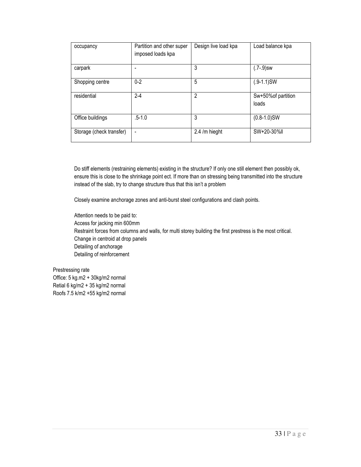| occupancy                | Partition and other super<br>imposed loads kpa | Design live load kpa | Load balance kpa             |
|--------------------------|------------------------------------------------|----------------------|------------------------------|
| carpark                  |                                                | 3                    | $(.7-.9)$ sw                 |
| Shopping centre          | $0 - 2$                                        | 5                    | $(.9-1.1)SW$                 |
| residential              | $2 - 4$                                        | 2                    | Sw+50% of partition<br>loads |
| Office buildings         | $.5 - 1.0$                                     | 3                    | $(0.8-1.0)$ SW               |
| Storage (check transfer) | $\qquad \qquad \blacksquare$                   | 2.4 /m hieght        | SW+20-30%II                  |

Do stiff elements (restraining elements) existing in the structure? If only one still element then possibly ok, ensure this is close to the shrinkage point ect. If more than on stressing being transmitted into the structure instead of the slab, try to change structure thus that this isn't a problem

Closely examine anchorage zones and anti-burst steel configurations and clash points.

Attention needs to be paid to: Access for jacking min 600mm Restraint forces from columns and walls, for multi storey building the first prestress is the most critical. Change in centroid at drop panels Detailing of anchorage Detailing of reinforcement

Prestressing rate Office: 5 kg.m2 + 30kg/m2 normal Retial 6 kg/m2 + 35 kg/m2 normal Roofs 7.5 k/m2 +55 kg/m2 normal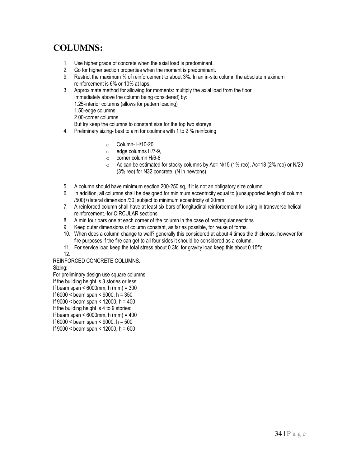# **COLUMNS:**

- 1. Use higher grade of concrete when the axial load is predominant.
- 2. Go for higher section properties when the moment is predominant.
- 9. Restrict the maximum % of reinforcement to about 3%. In an in-situ column the absolute maximum reinforcement is 6% or 10% at laps.
- 3. Approximate method for allowing for moments: multiply the axial load from the floor Immediately above the column being considered) by: 1.25-interior columns (allows for pattern loading)
	- 1.50-edge columns

2.00-corner columns

But try keep the columns to constant size for the top two storeys.

- 4. Preliminary sizing- best to aim for coulmns with 1 to 2 % reinfcoing
	- $\circ$  Column-H/10-20,
	- o edge columns H/7-9,
	- o corner column H/6-8
	- o Ac can be estimated for stocky columns by Ac= N/15 (1% reo), Ac=18 (2% reo) or N/20 (3% reo) for N32 concrete. (N in newtons)
- 5. A column should have minimum section 200-250 sq, if it is not an obligatory size column.
- 6. In addition, all columns shall be designed for minimum eccentricity equal to [(unsupported length of column /500)+(lateral dimension /30] subject to minimum eccentricity of 20mm.
- 7. A reinforced column shall have at least six bars of longitudinal reinforcement for using in transverse helical reinforcement.-for CIRCULAR sections.
- 8. A min four bars one at each corner of the column in the case of rectangular sections.
- 9. Keep outer dimensions of column constant, as far as possible, for reuse of forms.
- 10. When does a column change to wall? generally this considered at about 4 times the thickness, however for fire purposes if the fire can get to all four sides it should be considered as a column.
- 11. For service load keep the total stress about 0.3fc' for gravity load keep this about 0.15fc.

12. REINFORCED CONCRETE COLUMNS:

Sizing:

For preliminary design use square columns.

- If the building height is 3 stories or less:
- If beam span < 6000mm, h (mm) = 300
- If 6000 < beam span < 9000, h = 350
- If 9000 < beam span < 12000, h = 400
- If the building height is 4 to 9 stories:
- If beam span  $\leq 6000$ mm, h (mm) = 400
- If 6000 < beam span < 9000, h = 500
- If 9000 < beam span < 12000, h = 600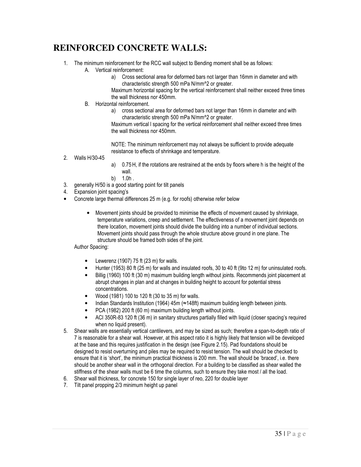# **REINFORCED CONCRETE WALLS:**

- 1. The minimum reinforcement for the RCC wall subject to Bending moment shall be as follows:
	- A. Vertical reinforcement:
		- a) Cross sectional area for deformed bars not larger than 16mm in diameter and with characteristic strength 500 mPa N/mm^2 or greater.

Maximum horizontal spacing for the vertical reinforcement shall neither exceed three times the wall thickness nor 450mm.

- B. Horizontal reinforcement.
	- a) cross sectional area for deformed bars not larger than 16mm in diameter and with characteristic strength 500 mPa N/mm^2 or greater.

Maximum vertical l spacing for the vertical reinforcement shall neither exceed three times the wall thickness nor 450mm.

NOTE: The minimum reinforcement may not always be sufficient to provide adequate resistance to effects of shrinkage and temperature.

- 2. Walls H/30-45
- a) 0.75H, if the rotations are restrained at the ends by floors where h is the height of the wall.
- b) 1.0h .
- 3. generally H/50 is a good starting point for tilt panels
- 4. Expansion joint spacing's
- Concrete large thermal differences 25 m (e.g. for roofs) otherwise refer below
	- Movement joints should be provided to minimise the effects of movement caused by shrinkage, temperature variations, creep and settlement. The effectiveness of a movement joint depends on there location, movement joints should divide the building into a number of individual sections. Movement joints should pass through the whole structure above ground in one plane. The structure should be framed both sides of the joint.

Author Spacing:

- Lewerenz (1907) 75 ft (23 m) for walls.
- Hunter (1953) 80 ft (25 m) for walls and insulated roofs, 30 to 40 ft (9to 12 m) for uninsulated roofs.
- Billig (1960) 100 ft (30 m) maximum building length without joints. Recommends joint placement at abrupt changes in plan and at changes in building height to account for potential stress concentrations.
- Wood (1981) 100 to 120 ft (30 to 35 m) for walls.
- Indian Standards Institution (1964) 45m (≈148ft) maximum building length between joints.
- PCA (1982) 200 ft (60 m) maximum building length without joints.
- ACI 350R-83 120 ft (36 m) in sanitary structures partially filled with liquid (closer spacing's required when no liquid present).
- 5. Shear walls are essentially vertical cantilevers, and may be sized as such; therefore a span-to-depth ratio of 7 is reasonable for a shear wall. However, at this aspect ratio it is highly likely that tension will be developed at the base and this requires justification in the design (see Figure 2.15). Pad foundations should be designed to resist overturning and piles may be required to resist tension. The wall should be checked to ensure that it is 'short', the minimum practical thickness is 200 mm. The wall should be 'braced', i.e. there should be another shear wall in the orthogonal direction. For a building to be classified as shear walled the stiffness of the shear walls must be 6 time the columns, such to ensure they take most / all the load.
- 6. Shear wall thickness, for concrete 150 for single layer of reo, 220 for double layer
- 7. Tilt panel propping 2/3 minimum height up panel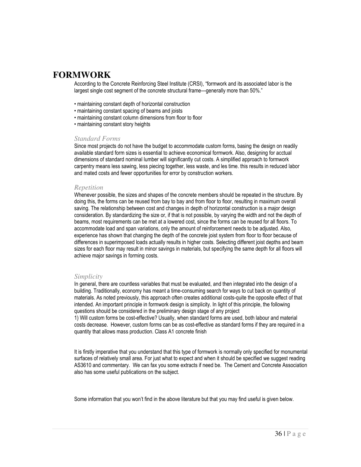# **FORMWORK**

According to the Concrete Reinforcing Steel Institute (CRSI), "formwork and its associated labor is the largest single cost segment of the concrete structural frame—generally more than 50%."

- maintaining constant depth of horizontal construction
- maintaining constant spacing of beams and joists
- maintaining constant column dimensions from floor to floor
- maintaining constant story heights

#### *Standard Forms*

Since most projects do not have the budget to accommodate custom forms, basing the design on readily available standard form sizes is essential to achieve economical formwork. Also, designing for acctual dimensions of standard nominal lumber will significantly cut costs. A simplified approach to formwork carpentry means less sawing, less piecing together, less waste, and les time. this results in reduced labor and mated costs and fewer opportunities for error by construction workers.

#### *Repetition*

Whenever possible, the sizes and shapes of the concrete members should be repeated in the structure. By doing this, the forms can be reused from bay to bay and from floor to floor, resulting in maximum overall saving. The relationship between cost and changes in depth of horizontal construction is a major design consideration. By standardizing the size or, if that is not possible, by varying the width and not the depth of beams, most requirements can be met at a lowered cost, since the forms can be reused for all floors. To accommodate load and span variations, only the amount of reinforcement needs to be adjusted. Also, experience has shown that changing the depth of the concrete joist system from floor to floor because of differences in superimposed loads actually results in higher costs. Selecting different joist depths and beam sizes for each floor may result in minor savings in materials, but specifying the same depth for all floors will achieve major savings in forming costs.

#### *Simplicity*

In general, there are countless variables that must be evaluated, and then integrated into the design of a building. Traditionally, economy has meant a time-consuming search for ways to cut back on quantity of materials. As noted previously, this approach often creates additional costs-quite the opposite effect of that intended. An important principle in formwork design is simplicity. In light of this principle, the following questions should be considered in the preliminary design stage of any project

1) Will custom forms be cost-effective? Usually, when standard forms are used, both labour and material costs decrease. However, custom forms can be as cost-effective as standard forms if they are required in a quantity that allows mass production. Class A1 concrete finish

It is firstly imperative that you understand that this type of formwork is normally only specified for monumental surfaces of relatively small area. For just what to expect and when it should be specified we suggest reading AS3610 and commentary. We can fax you some extracts if need be. The Cement and Concrete Association also has some useful publications on the subject.

Some information that you won't find in the above literature but that you may find useful is given below.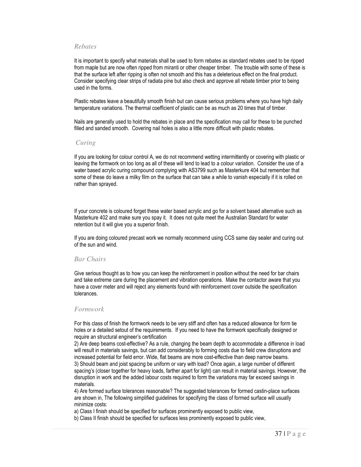#### *Rebates*

It is important to specify what materials shall be used to form rebates as standard rebates used to be ripped from maple but are now often ripped from miranti or other cheaper timber. The trouble with some of these is that the surface left after ripping is often not smooth and this has a deleterious effect on the final product. Consider specifying clear strips of radiata pine but also check and approve all rebate timber prior to being used in the forms.

Plastic rebates leave a beautifully smooth finish but can cause serious problems where you have high daily temperature variations. The thermal coefficient of plastic can be as much as 20 times that of timber.

Nails are generally used to hold the rebates in place and the specification may call for these to be punched filled and sanded smooth. Covering nail holes is also a little more difficult with plastic rebates.

#### *Curing*

If you are looking for colour control A, we do not recommend wetting intermittently or covering with plastic or leaving the formwork on too long as all of these will tend to lead to a colour variation. Consider the use of a water based acrylic curing compound complying with AS3799 such as Masterkure 404 but remember that some of these do leave a milky film on the surface that can take a while to vanish especially if it is rolled on rather than sprayed.

If your concrete is coloured forget these water based acrylic and go for a solvent based alternative such as Masterkure 402 and make sure you spay it. It does not quite meet the Australian Standard for water retention but it will give you a superior finish.

If you are doing coloured precast work we normally recommend using CCS same day sealer and curing out of the sun and wind.

### *Bar Chairs*

Give serious thought as to how you can keep the reinforcement in position without the need for bar chairs and take extreme care during the placement and vibration operations. Make the contactor aware that you have a cover meter and will reject any elements found with reinforcement cover outside the specification tolerances.

### *Formwork*

For this class of finish the formwork needs to be very stiff and often has a reduced allowance for form tie holes or a detailed setout of the requirements. If you need to have the formwork specifically designed or require an structural engineer's certification

2) Are deep beams cost-effective? As a rule, changing the beam depth to accommodate a difference in load will result in materials savings, but can add considerably to forming costs due to field crew disruptions and increased potential for field error. Wide, flat beams are more cost-effective than deep narrow beams. 3) Should beam and joist spacing be uniform or vary with load? Once again, a large number of different spacing's (closer together for heavy loads, farther apart for light) can result in material savings. However, the disruption in work and the added labour costs required to form the variations may far exceed savings in materials.

4) Are formed surface tolerances reasonable? The suggested tolerances for formed castin-place surfaces are shown in, The following simplified guidelines for specifying the class of formed surface will usually minimize costs:

a) Class I finish should be specified for surfaces prominently exposed to public view,

b) Class II finish should be specified for surfaces less prominently exposed to public view,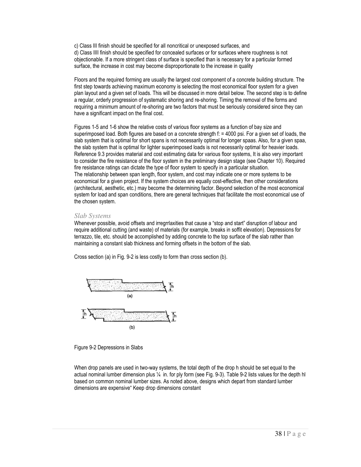c) Class III finish should be specified for all noncritical or unexposed surfaces, and d) Class IIII finish should be specified for concealed surfaces or for surfaces where roughness is not objectionable. If a more stringent class of surface is specified than is necessary for a particular formed surface, the increase in cost may become disproportionate to the increase in quality

Floors and the required forming are usually the largest cost component of a concrete building structure. The first step towards achieving maximum economy is selecting the most economical floor system for a given plan layout and a given set of loads. This will be discussed in more detail below. The second step is to define a regular, orderly progression of systematic shoring and re-shoring. Timing the removal of the forms and requiring a minimum amount of re-shoring are two factors that must be seriously considered since they can have a significant impact on the final cost.

Figures 1-5 and 1-6 show the relative costs of various floor systems as a function of bay size and superimposed load. Both figures are based on a concrete strength f: = 4000 psi. For a given set of loads, the slab system that is optimal for short spans is not necessarily optimal for longer spaas. Also, for a given spaa, the slab system that is optimal for lighter superimposed loads is not necessarily optimal for heavier loads. Reference 9.3 provides material and cost estimating data for various floor systems, It is also very important to consider the fire resistance of the floor system in the preliminary design stage (see Chapter 10). Required fire resistance ratings can dictate the type of floor system to specify in a particular situation. The relationship between span length, floor system, and cost may indicate one or more systems to be economical for a given project. If the system choices are equally cost-effective, then other considerations (architectural, aesthetic, etc.) may become the determining factor. Beyond selection of the most economical system for load and span conditions, there are general techniques that facilitate the most economical use of the chosen system.

### *Slab Systems*

Whenever possible, avoid offsets and irregrrlaxities that cause a "stop and start" disruption of labour and require additional cutting (and waste) of materials (for example, breaks in soffit elevation). Depressions for terrazzo, tile, etc. should be accomplished by adding concrete to the top surface of the slab rather than maintaining a constant slab thickness and forming offsets in the bottom of the slab.

Cross section (a) in Fig. 9-2 is less costly to form than cross section (b).



Figure 9-2 Depressions in Slabs

When drop panels are used in two-way systems, the total depth of the drop h should be set equal to the actual nominal lumber dimension plus ¼ in. for ply form (see Fig. 9-3). Table 9-2 lists values for the depth hl based on common nominal lumber sizes. As noted above, designs which depart from standard lumber dimensions are expensive" Keep drop dimensions constant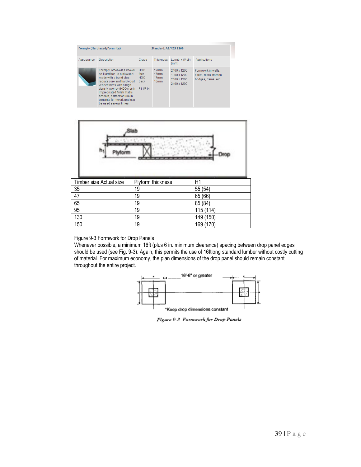|            | <b>Formply (Hardfaced/Formrite)</b>                                                                                                                                                                                                                                                         |                                                      | Standard: AS/NZS 2269                                            |                                                          |                                                                     |
|------------|---------------------------------------------------------------------------------------------------------------------------------------------------------------------------------------------------------------------------------------------------------------------------------------------|------------------------------------------------------|------------------------------------------------------------------|----------------------------------------------------------|---------------------------------------------------------------------|
| Appearance | Description                                                                                                                                                                                                                                                                                 | Grade                                                | <b>Thickness</b>                                                 | Length x Width<br>(mm)                                   | Applications                                                        |
|            | Formply, other-wise known<br>as Hardface, is a plywood<br>made with a bond glue.<br>radiata core and hardwood.<br>veneer faces with a high<br>density overlay (HDO) resin<br>impregnated finish that is<br>smooth, perfect for use in<br>concrete formwork and can<br>be used several times | HDO.<br>face<br><b>HDO</b><br><b>back</b><br>F11/F14 | 12 <sub>mm</sub><br>17 <sub>mm</sub><br>17mm<br>18 <sub>mm</sub> | 2400 x 1200<br>1800 x 1200<br>2400 x 1200<br>2400 x 1200 | Formwork in walls.<br>floors, roofs, frames,<br>bridges, dams, etc. |



150 19 19 169 (170)

### Figure 9-3 Formwork for Drop Panels

Whenever possible, a minimum 16ft (plus 6 in. minimum clearance) spacing between drop panel edges should be used (see Fig. 9-3). Again, this permits the use of 16ftlong standard lumber without costly cutting of material. For maximum economy, the plan dimensions of the drop panel should remain constant throughout the entire project.



Figure 9-3 Formwork for Drop Panels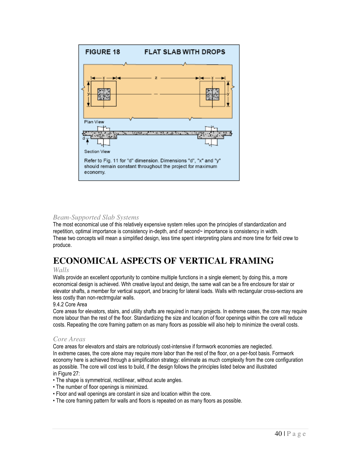

### *Beam-Supported Slab Systems*

The most economical use of this relatively expensive system relies upon the principles of standardization and repetition, optimal importance is consistency in-depth, and of second~ importance is consistency in width. These two concepts will mean a simplified design, less time spent interpreting plans and more time for field crew to produce.

# **ECONOMICAL ASPECTS OF VERTICAL FRAMING**

#### *Walls*

Walls provide an excellent opportunity to combine multiple functions in a single element; by doing this, a more economical design is achieved. Whh creative layout and design, the same wall can be a fire enclosure for stair or elevator shafts, a member for vertical support, and bracing for lateral loads. Walls with rectangular cross-sections are less costly than non-rectrmgular walls.

#### 9.4.2 Core Area

Core areas for elevators, stairs, and utility shafts are required in many projects. In extreme cases, the core may require more labour than the rest of the floor. Standardizing the size and location of floor openings within the core will reduce costs. Repeating the core framing pattern on as many floors as possible will also help to minimize the overall costs.

### *Core Areas*

Core areas for elevators and stairs are notoriously cost-intensive if formwork economies are neglected. In extreme cases, the core alone may require more labor than the rest of the floor, on a per-foot basis. Formwork economy here is achieved through a simplification strategy: eliminate as much complexity from the core configuration as possible. The core will cost less to build, if the design follows the principles listed below and illustrated in Figure 27:

- The shape is symmetrical, rectilinear, without acute angles.
- The number of floor openings is minimized.
- Floor and wall openings are constant in size and location within the core.
- The core framing pattern for walls and floors is repeated on as many floors as possible.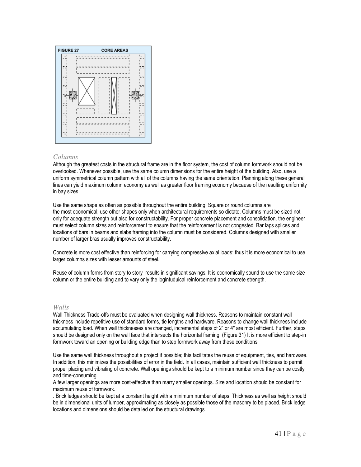

#### *Columns*

Although the greatest costs in the structural frame are in the floor system, the cost of column formwork should not be overlooked. Whenever possible, use the same column dimensions for the entire height of the building. Also, use a uniform symmetrical column pattern with all of the columns having the same orientation. Planning along these general lines can yield maximum column economy as well as greater floor framing economy because of the resulting uniformity in bay sizes.

Use the same shape as often as possible throughout the entire building. Square or round columns are the most economical; use other shapes only when architectural requirements so dictate. Columns must be sized not only for adequate strength but also for constructability. For proper concrete placement and consolidation, the engineer must select column sizes and reinforcement to ensure that the reinforcement is not congested. Bar laps splices and locations of bars in beams and slabs framing into the column must be considered. Columns designed with smaller number of larger bras usually improves constructability.

Concrete is more cost effective than reinforcing for carrying compressive axial loads; thus it is more economical to use larger columns sizes with lesser amounts of steel.

Reuse of column forms from story to story results in significant savings. It is economically sound to use the same size column or the entire building and to vary only the logintuduical reinforcement and concrete strength.

#### *Walls*

Wall Thickness Trade-offs must be evaluated when designing wall thickness. Reasons to maintain constant wall thickness include repetitive use of standard forms, tie lengths and hardware. Reasons to change wall thickness include accumulating load. When wall thicknesses are changed, incremental steps of 2" or 4" are most efficient. Further, steps should be designed only on the wall face that intersects the horizontal framing. (Figure 31) It is more efficient to step-in formwork toward an opening or building edge than to step formwork away from these conditions.

Use the same wall thickness throughout a project if possible; this facilitates the reuse of equipment, ties, and hardware. In addition, this minimizes the possibilities of error in the field. In all cases, maintain sufficient wall thickness to permit proper placing and vibrating of concrete. Wall openings should be kept to a minimum number since they can be costly and time-consuming.

A few larger openings are more cost-effective than marry smaller openings. Size and location should be constant for maximum reuse of formwork.

. Brick ledges should be kept at a constant height with a minimum number of steps. Thickness as well as height should be in dimensional units of lumber, approximating as closely as possible those of the masonry to be placed. Brick ledge locations and dimensions should be detailed on the structural drawings.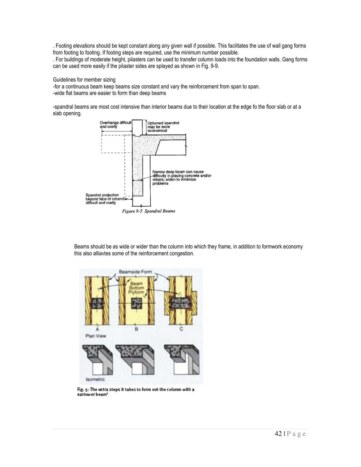. Footing elevations should be kept constant along any given wall if possible. This facilitates the use of wall gang forms from footing to footing. If footing steps are required, use the minimum number possible.

. For buildings of moderate height, pilasters can be used to transfer column loads into the foundation walls. Gang forms can be used more easily if the pilaster sides are splayed as shown in Fig. 9-9.

Guidelines for member sizing

-for a continuous beam keep beams size constant and vary the reinforcement from span to span. -wide flat beams are easier to form than deep beams

-spandral beams are most cost intensive than interior beams due to their location at the edge fo the floor slab or at a slab opening.





Beams should be as wide or wider than the column into which they frame, in addition to formwork economy this also alliavtes some of the reinforcement congestion.



Fig. 5: The extra steps it takes to form out the column with a narrower beam<sup>s</sup>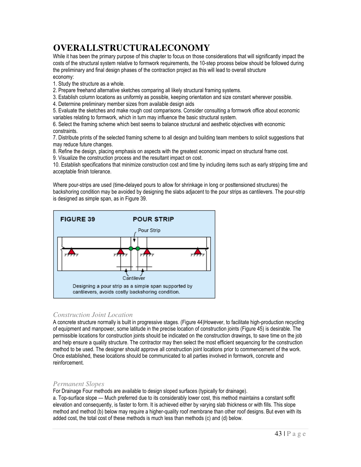# **OVERALLSTRUCTURALECONOMY**

While it has been the primary purpose of this chapter to focus on those considerations that will significantly impact the costs of the structural system relative to formwork requirements, the 10-step process below should be followed during the preliminary and final design phases of the contraction project as this will lead to overall structure economy:

- 1. Study the structure as a whole.
- 2. Prepare freehand alternative sketches comparing all likely structural framing systems.
- 3. Establish column locations as uniformly as possible, keeping orientation and size constant wherever possible.
- 4. Determine preliminary member sizes from available design aids

5. Evaluate the sketches and make rough cost comparisons. Consider consulting a formwork office about economic variables relating to formwork, which in turn may influence the basic structural system.

6. Select the framing scheme which best seems to balance structural and aesthetic objectives with economic constraints.

7. Distribute prints of the selected framing scheme to all design and building team members to solicit suggestions that may reduce future changes.

8. Refine the design, placing emphasis on aspects with the greatest economic impact on structural frame cost.

9. Visualize the construction process and the resultant impact on cost.

10. Establish specifications that minimize construction cost and time by including items such as early stripping time and acceptable finish tolerance.

Where pour-strips are used (time-delayed pours to allow for shrinkage in long or posttensioned structures) the backshoring condition may be avoided by designing the slabs adjacent to the pour strips as cantilevers. The pour-strip is designed as simple span, as in Figure 39.



# *Construction Joint Location*

A concrete structure normally is built in progressive stages. (Figure 44)However, to facilitate high-production recycling of equipment and manpower, some latitude in the precise location of construction joints (Figure 45) is desirable. The permissible locations for construction joints should be indicated on the construction drawings, to save time on the job and help ensure a quality structure. The contractor may then select the most efficient sequencing for the construction method to be used. The designer should approve all construction joint locations prior to commencement of the work. Once established, these locations should be communicated to all parties involved in formwork, concrete and reinforcement.

# *Permanent Slopes*

For Drainage Four methods are available to design sloped surfaces (typically for drainage).

a. Top-surface slope — Much preferred due to its considerably lower cost, this method maintains a constant soffit elevation and consequently, is faster to form. It is achieved either by varying slab thickness or with fills. This slope method and method (b) below may require a higher-quality roof membrane than other roof designs. But even with its added cost, the total cost of these methods is much less than methods (c) and (d) below.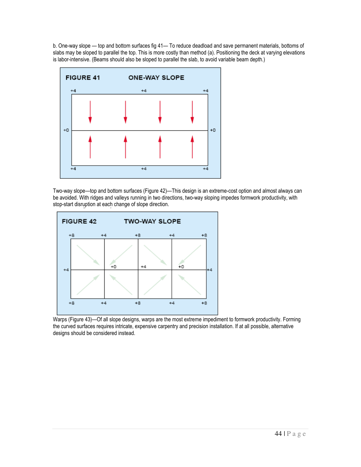b. One-way slope — top and bottom surfaces fig 41— To reduce deadload and save permanent materials, bottoms of slabs may be sloped to parallel the top. This is more costly than method (a). Positioning the deck at varying elevations is labor-intensive. (Beams should also be sloped to parallel the slab, to avoid variable beam depth.)



Two-way slope—top and bottom surfaces (Figure 42)—This design is an extreme-cost option and almost always can be avoided. With ridges and valleys running in two directions, two-way sloping impedes formwork productivity, with stop-start disruption at each change of slope direction.



Warps (Figure 43)—Of all slope designs, warps are the most extreme impediment to formwork productivity. Forming the curved surfaces requires intricate, expensive carpentry and precision installation. If at all possible, alternative designs should be considered instead.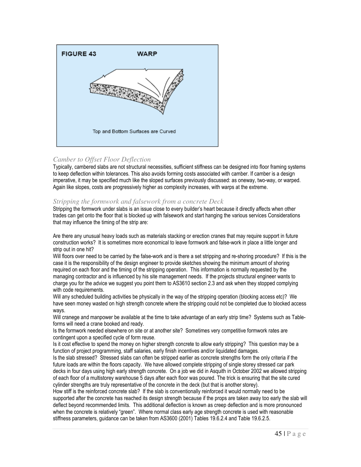

# *Camber to Offset Floor Deflection*

Typically, cambered slabs are not structural necessities, sufficient stiffness can be designed into floor framing systems to keep deflection within tolerances. This also avoids forming costs associated with camber. If camber is a design imperative, it may be specified much like the sloped surfaces previously discussed: as oneway, two-way, or warped. Again like slopes, costs are progressively higher as complexity increases, with warps at the extreme.

# *Stripping the formwork and falsework from a concrete Deck*

Stripping the formwork under slabs is an issue close to every builder's heart because it directly affects when other trades can get onto the floor that is blocked up with falsework and start hanging the various services Considerations that may influence the timing of the strip are:

Are there any unusual heavy loads such as materials stacking or erection cranes that may require support in future construction works? It is sometimes more economical to leave formwork and false-work in place a little longer and strip out in one hit?

Will floors over need to be carried by the false-work and is there a set stripping and re-shoring procedure? If this is the case it is the responsibility of the design engineer to provide sketches showing the minimum amount of shoring required on each floor and the timing of the stripping operation. This information is normally requested by the managing contractor and is influenced by his site management needs. If the projects structural engineer wants to charge you for the advice we suggest you point them to AS3610 section 2.3 and ask when they stopped complying with code requirements.

Will any scheduled building activities be physically in the way of the stripping operation (blocking access etc)? We have seen money wasted on high strength concrete where the stripping could not be completed due to blocked access ways.

Will cranege and manpower be available at the time to take advantage of an early strip time? Systems such as Tableforms will need a crane booked and ready.

Is the formwork needed elsewhere on site or at another site? Sometimes very competitive formwork rates are contingent upon a specified cycle of form reuse.

Is it cost effective to spend the money on higher strength concrete to allow early stripping? This question may be a function of project programming, staff salaries, early finish incentives and/or liquidated damages.

Is the slab stressed? Stressed slabs can often be stripped earlier as concrete strengths form the only criteria if the future loads are within the floors capacity. We have allowed complete stripping of single storey stressed car park decks in four days using high early strength concrete. On a job we did in Asquith in October 2002 we allowed stripping of each floor of a multistorey warehouse 5 days after each floor was poured. The trick is ensuring that the site cured cylinder strengths are truly representative of the concrete in the deck (but that is another storey).

How stiff is the reinforced concrete slab? If the slab is conventionally reinforced it would normally need to be supported after the concrete has reached its design strength because if the props are taken away too early the slab will deflect beyond recommended limits. This additional deflection is known as creep deflection and is more pronounced when the concrete is relatively "green". Where normal class early age strength concrete is used with reasonable stiffness parameters, guidance can be taken from AS3600 (2001) Tables 19.6.2.4 and Table 19.6.2.5.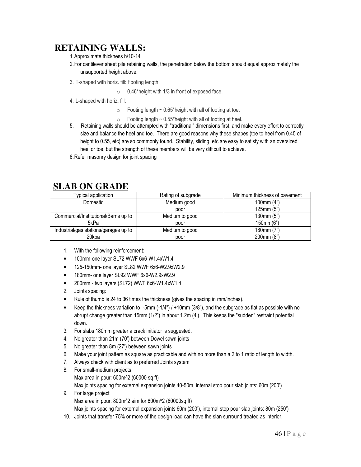# **RETAINING WALLS:**

1.Approximate thickness h/10-14

- 2.For cantilever sheet pile retaining walls, the penetration below the bottom should equal approximately the unsupported height above.
- 3. T-shaped with horiz. fill: Footing length
	- $\circ$  0.46\*height with 1/3 in front of exposed face.
- 4. L-shaped with horiz. fill:
	- $\circ$  Footing length  $\sim$  0.65\*height with all of footing at toe.
	- $\circ$  Footing length  $\sim$  0.55\*height with all of footing at heel.
- 5. Retaining walls should be attempted with "traditional" dimensions first, and make every effort to correctly size and balance the heel and toe. There are good reasons why these shapes (toe to heel from 0.45 of height to 0.55, etc) are so commonly found. Stability, sliding, etc are easy to satisfy with an oversized heel or toe, but the strength of these members will be very difficult to achieve.

6.Refer masonry design for joint spacing

# **SLAB ON GRADE**

| Typical application                   | Rating of subgrade | Minimum thickness of pavement |
|---------------------------------------|--------------------|-------------------------------|
| Domestic                              | Medium good        | 100mm $(4")$                  |
|                                       | poor               | 125mm (5")                    |
| Commercial/Institutional/Barns up to  | Medium to good     | 130mm (5")                    |
| 5kPa                                  | poor               | 150mm(6")                     |
| Industrial/gas stations/garages up to | Medium to good     | 180mm (7")                    |
| 20kpa                                 | poor               | 200mm (8")                    |

- 1. With the following reinforcement:
- 100mm-one layer SL72 WWF 6x6-W1.4xW1.4
- 125-150mm- one layer SL82 WWF 6x6-W2.9xW2.9
- 180mm- one layer SL92 WWF 6x6-W2.9xW2.9
- 200mm two layers (SL72) WWF 6x6-W1.4xW1.4
- 2. Joints spacing:
- Rule of thumb is 24 to 36 times the thickness (gives the spacing in mm/inches).
- Keep the thickness variation to -5mm (-1/4") / +10mm (3/8"), and the subgrade as flat as possible with no abrupt change greater than 15mm (1/2") in about 1.2m (4'). This keeps the "sudden" restraint potential down.
- 3. For slabs 180mm greater a crack initiator is suggested.
- 4. No greater than 21m (70') between Dowel sawn joints
- 5. No greater than 8m (27') between sawn joints
- 6. Make your joint pattern as square as practicable and with no more than a 2 to 1 ratio of length to width.
- 7. Always check with client as to preferred Joints system
- 8. For small-medium projects Max area in pour: 600m^2 (60000 sq ft) Max joints spacing for external expansion joints 40-50m, internal stop pour slab joints: 60m (200').
- 9. For large project

Max area in pour: 800m^2 aim for 600m^2 (60000sq ft)

Max joints spacing for external expansion joints 60m (200'), internal stop pour slab joints: 80m (250')

10. Joints that transfer 75% or more of the design load can have the slan surround treated as interior.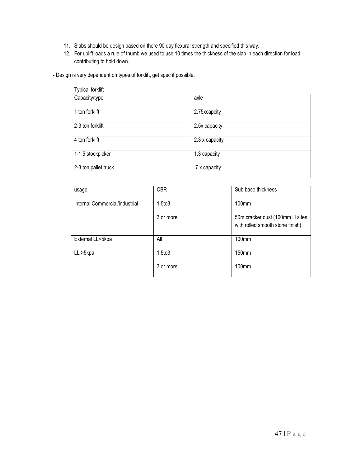- 11. Slabs should be design based on there 90 day flexural strength and specified this way.
- 12. For uplift loads a rule of thumb we used to use 10 times the thickness of the slab in each direction for load contributing to hold down.

- Design is very dependent on types of forklift, get spec if possible.

| <b>Typical forklift</b> |                |  |
|-------------------------|----------------|--|
| Capacity/type           | axle           |  |
| 1 ton forklift          | 2.75xcapcity   |  |
| 2-3 ton forklift        | 2.5x capacity  |  |
| 4 ton forklift          | 2.3 x capacity |  |
| 1-1.5 stockpicker       | 1.3 capacity   |  |
| 2-3 ton pallet truck    | .7 x capacity  |  |

| usage                          | <b>CBR</b>   | Sub base thickness                                                  |
|--------------------------------|--------------|---------------------------------------------------------------------|
| Internal Commercial/industrial | $1.5$ to $3$ | 100mm                                                               |
|                                | 3 or more    | 50m cracker dust (100mm H sites<br>with rolled smooth stone finish) |
| External LL<5kpa               | All          | 100mm                                                               |
| LL >5kpa                       | $1.5$ to $3$ | 150mm                                                               |
|                                | 3 or more    | 100mm                                                               |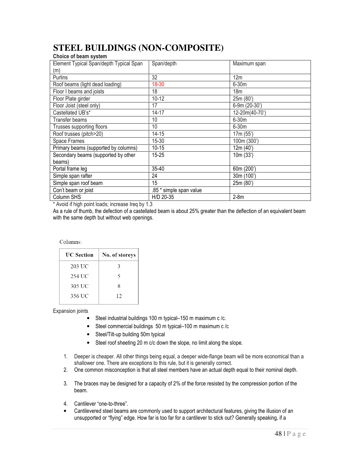# **STEEL BUILDINGS (NON-COMPOSITE)**

| Choice of beam system                   |                         |                 |
|-----------------------------------------|-------------------------|-----------------|
| Element Typical Span/depth Typical Span | Span/depth              | Maximum span    |
| (m)                                     |                         |                 |
| Purlins                                 | 32                      | 12m             |
| Roof beams (light dead loading)         | 18-30                   | 6-30m           |
| Floor I beams and joists                | 18                      | 18 <sub>m</sub> |
| Floor Plate girder                      | $10 - 12$               | 25m (80')       |
| Floor Joist (steel only)                | 17                      | 6-9m (20-30')   |
| Castellated UB's*                       | $14 - 17$               | 12-20m(40-70')  |
| Transfer beams                          | 10                      | 6-30m           |
| Trusses supporting floors               | 10                      | 6-30m           |
| Roof trusses (pitch>20)                 | 14-15                   | 17m (55')       |
| Space Frames                            | $15 - 30$               | 100m (300')     |
| Primary beams (supported by columns)    | $10 - 15$               | 12m (40')       |
| Secondary beams (supported by other     | $15 - 25$               | 10m (33')       |
| beams)                                  |                         |                 |
| Portal frame leg                        | 35-40                   | 60m (200')      |
| Simple span rafter                      | 24                      | 30m (100')      |
| Simple span roof beam                   | 15                      | 25m (80')       |
| Con't beam or joist                     | .85 * simple span value |                 |
| Column SHS                              | H/D 20-35               | $2-8m$          |

\* Avoid if high point loads; increase Ireq by 1.3

As a rule of thumb, the defection of a castellated beam is about 25% greater than the deflection of an equivalent beam with the same depth but without web openings.

#### Columns:

| <b>UC</b> Section | No. of storeys |
|-------------------|----------------|
| 203 UC            | 3              |
| 254 UC            | 5              |
| 305 UC            | 8              |
| 356 UC            | 12             |
|                   |                |

Expansion joints

- Steel industrial buildings 100 m typical–150 m maximum c /c.
- Steel commercial buildings 50 m typical-100 m maximum c /c
- Steel/Tilt-up building 50m typical
- Steel roof sheeting 20 m c/c down the slope, no limit along the slope.
- 1. Deeper is cheaper. All other things being equal, a deeper wide-flange beam will be more economical than a shallower one. There are exceptions to this rule, but it is generally correct.
- 2. One common misconception is that all steel members have an actual depth equal to their nominal depth.
- 3. The braces may be designed for a capacity of 2% of the force resisted by the compression portion of the beam.
- 4. Cantilever "one-to-three".
- Cantilevered steel beams are commonly used to support architectural features, giving the illusion of an unsupported or "flying" edge. How far is too far for a cantilever to stick out? Generally speaking, if a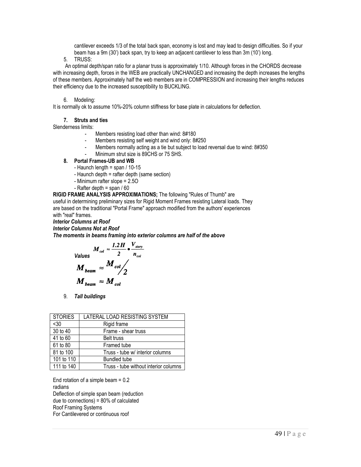cantilever exceeds 1/3 of the total back span, economy is lost and may lead to design difficulties. So if your beam has a 9m (30') back span, try to keep an adjacent cantilever to less than 3m (10') long.

5. TRUSS:

 An optimal depth/span ratio for a planar truss is approximately 1/10. Although forces in the CHORDS decrease with increasing depth, forces in the WEB are practically UNCHANGED and increasing the depth increases the lengths of these members. Approximately half the web members are in COMPRESSION and increasing their lengths reduces their efficiency due to the increased susceptibility to BUCKLING.

### 6. Modeling:

It is normally ok to assume 10%-20% column stiffness for base plate in calculations for deflection.

# 7. Struts and ties

Slenderness limits:

- Members resisting load other than wind: 8#180
- Members resisting self weight and wind only: 8#250
- Members normally acting as a tie but subject to load reversal due to wind: 8#350
- Minimum strut size is 89CHS or 75 SHS.

# 8. Portal Frames-UB and WB

- Haunch length = span / 10-15
- Haunch depth = rafter depth (same section)
- Minimum rafter slope = 2.5O
- $-$  Rafter depth = span / 60

RIGID FRAME ANALYSIS APPROXIMATIONS; The following "Rules of Thumb" are useful in determining preliminary sizes for Rigid Moment Frames resisting Lateral loads. They are based on the traditional "Portal Frame" approach modified from the authors' experiences with "real" frames.

# Interior Columns at Roof

# Interior Columns Not at Roof

The moments in beams framing into exterior columns are half of the above

$$
M_{col} \approx \frac{1.2H}{2} \cdot \frac{V_{stop}}{n_{col}}
$$
  

$$
M_{beam} \approx \frac{M_{col}}{2}
$$
  

$$
M_{beam} \approx M_{col}
$$

9. Tall buildings

| <b>STORIES</b> | LATERAL LOAD RESISTING SYSTEM         |
|----------------|---------------------------------------|
| $30$           | Rigid frame                           |
| 30 to 40       | Frame - shear truss                   |
| 41 to 60       | <b>Belt truss</b>                     |
| 61 to 80       | Framed tube                           |
| 81 to 100      | Truss - tube w/ interior columns      |
| 101 to 110     | <b>Bundled tube</b>                   |
| 111 to 140     | Truss - tube without interior columns |

End rotation of a simple beam = 0.2

radians

Deflection of simple span beam (reduction due to connections) = 80% of calculated Roof Framing Systems For Cantilevered or continuous roof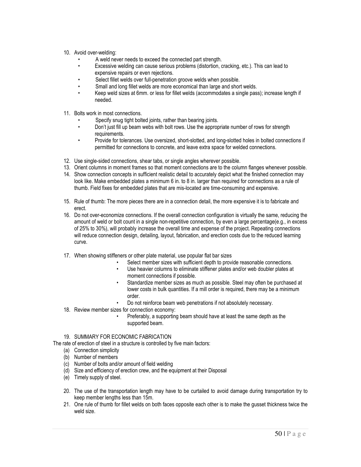- 10. Avoid over-welding:
	- A weld never needs to exceed the connected part strength.
	- Excessive welding can cause serious problems (distortion, cracking, etc.). This can lead to expensive repairs or even rejections.
	- Select fillet welds over full-penetration groove welds when possible.
	- Small and long fillet welds are more economical than large and short welds.
	- Keep weld sizes at 6mm. or less for fillet welds (accommodates a single pass); increase length if needed.
- 11. Bolts work in most connections.
	- Specify snug tight bolted joints, rather than bearing joints.
	- Don't just fill up beam webs with bolt rows. Use the appropriate number of rows for strength requirements.
	- Provide for tolerances. Use oversized, short-slotted, and long-slotted holes in bolted connections if permitted for connections to concrete, and leave extra space for welded connections.
- 12. Use single-sided connections, shear tabs, or single angles wherever possible.
- 13. Orient columns in moment frames so that moment connections are to the column flanges whenever possible.
- 14. Show connection concepts in sufficient realistic detail to accurately depict what the finished connection may look like. Make embedded plates a minimum 6 in. to 8 in. larger than required for connections as a rule of thumb. Field fixes for embedded plates that are mis-located are time-consuming and expensive.
- 15. Rule of thumb: The more pieces there are in a connection detail, the more expensive it is to fabricate and erect.
- 16. Do not over-economize connections. If the overall connection configuration is virtually the same, reducing the amount of weld or bolt count in a single non-repetitive connection, by even a large percentage(e.g., in excess of 25% to 30%), will probably increase the overall time and expense of the project. Repeating connections will reduce connection design, detailing, layout, fabrication, and erection costs due to the reduced learning curve.
- 17. When showing stiffeners or other plate material, use popular flat bar sizes
	- Select member sizes with sufficient depth to provide reasonable connections.
	- Use heavier columns to eliminate stiffener plates and/or web doubler plates at moment connections if possible.
	- Standardize member sizes as much as possible. Steel may often be purchased at lower costs in bulk quantities. If a mill order is required, there may be a minimum order.
	- Do not reinforce beam web penetrations if not absolutely necessary.
- 18. Review member sizes for connection economy:
	- Preferably, a supporting beam should have at least the same depth as the supported beam.
- 19. SUMMARY FOR ECONOMIC FABRICATION

The rate of erection of steel in a structure is controlled by five main factors:

- (a) Connection simplicity
- (b) Number of members
- (c) Number of bolts and/or amount of field welding
- (d) Size and efficiency of erection crew, and the equipment at their Disposal
- (e) Timely supply of steel.
- 20. The use of the transportation length may have to be curtailed to avoid damage during transportation try to keep member lengths less than 15m.
- 21. One rule of thumb for fillet welds on both faces opposite each other is to make the gusset thickness twice the weld size.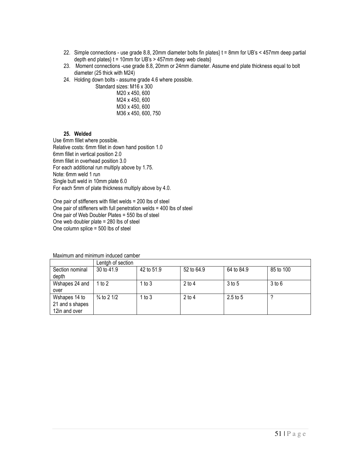- 22. Simple connections use grade 8.8, 20mm diameter bolts fin plates} t = 8mm for UB's < 457mm deep partial depth end plates}  $t = 10$ mm for UB's > 457mm deep web cleats}
- 23. Moment connections -use grade 8.8, 20mm or 24mm diameter. Assume end plate thickness equal to bolt diameter (25 thick with M24)
- 24. Holding down bolts assume grade 4.6 where possible.

Standard sizes: M16 x 300 M20 x 450, 600 M24 x 450, 600 M30 x 450, 600 M36 x 450, 600, 750

### 25. Welded

Use 6mm fillet where possible. Relative costs: 6mm fillet in down hand position 1.0 6mm fillet in vertical position 2.0 6mm fillet in overhead position 3.0 For each additional run multiply above by 1.75. Note: 6mm weld 1 run Single butt weld in 10mm plate 6.0 For each 5mm of plate thickness multiply above by 4.0.

One pair of stiffeners with fillet welds = 200 lbs of steel One pair of stiffeners with full penetration welds = 400 lbs of steel One pair of Web Doubler Plates = 550 lbs of steel One web doubler plate = 280 lbs of steel One column splice = 500 lbs of steel

Lentgh of section Section nominal depth 30 to 41.9 42 to 51.9 52 to 64.9 64 to 84.9 85 to 100 Wshapes 24 and over 1 to 2 1 to 3 2 to 4 3 to 5 3 to 6 Wshapes 14 to 21 and s shapes 12in and over  $\frac{3}{4}$  to 2 1/2 1 to 3 2 to 4 2.5 to 5 2.5

Maximum and minimum induced camber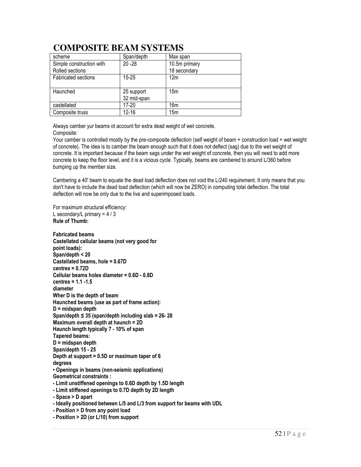# **COMPOSITE BEAM SYSTEMS**

| scheme                     | Span/depth  | Max span        |
|----------------------------|-------------|-----------------|
| Simple construction with   | $20 - 28$   | 10.5m primary   |
| Rolled sections            |             | 18 secondary    |
| <b>Fabricated sections</b> | $15 - 25$   | 12 <sub>m</sub> |
|                            |             |                 |
| Haunched                   | 25 support  | 15m             |
|                            | 32 mid-span |                 |
| castellated                | $17-20$     | 16m             |
| Composite truss            | $12 - 16$   | 15m             |

Always camber yur beams ot account for extra dead weight of wet concrete. Composite:

Your camber is controlled mostly by the pre-composite deflection (self weight of beam + construction load + wet weight of concrete). The idea is to camber the beam enough such that it does not deflect (sag) due to the wet weight of concrete. It is important because if the beam sags under the wet weight of concrete, then you will need to add more concrete to keep the floor level, and it is a vicious cycle. Typically, beams are cambered to around L/360 before bumping up the member size.

Cambering a 40' beam to equate the dead load deflection does not void the L/240 requirement. It only means that you don't have to include the dead load deflection (which will now be ZERO) in computing total deflection. The total deflection will now be only due to the live and superimposed loads.

For maximum structural efficiency: L secondary/L primary =  $4/3$ Rule of Thumb:

```
Fabricated beams 
Castellated cellular beams (not very good for 
point loads): 
Span/depth < 20 
Castellated beams, hole = 0.67D 
centres = 0.72D 
Cellular beams holes diameter = 0.6D - 0.8D 
centres = 1.1 -1.5 
diameter 
Wher D is the depth of beam 
Haunched beams (use as part of frame action): 
D = midspan depth 
Span/depth \leq 35 (span/depth including slab = 26-28)
Maximum overall depth at haunch = 2D 
Haunch length typically 7 - 10% of span 
Tapered beams: 
D = midspan depth 
Span/depth 15 - 25 
Depth at support = 0.5D or maximum taper of 6 
degrees 
• Openings in beams (non-seismic applications) 
Geometrical constraints : 
- Limit unstiffened openings to 0.6D depth by 1.5D length 
- Limit stiffened openings to 0.7D depth by 2D length 
- Space > D apart 
- Ideally positioned between L/5 and L/3 from support for beams with UDL
```
- Position > D from any point load
- Position > 2D (or L/10) from support